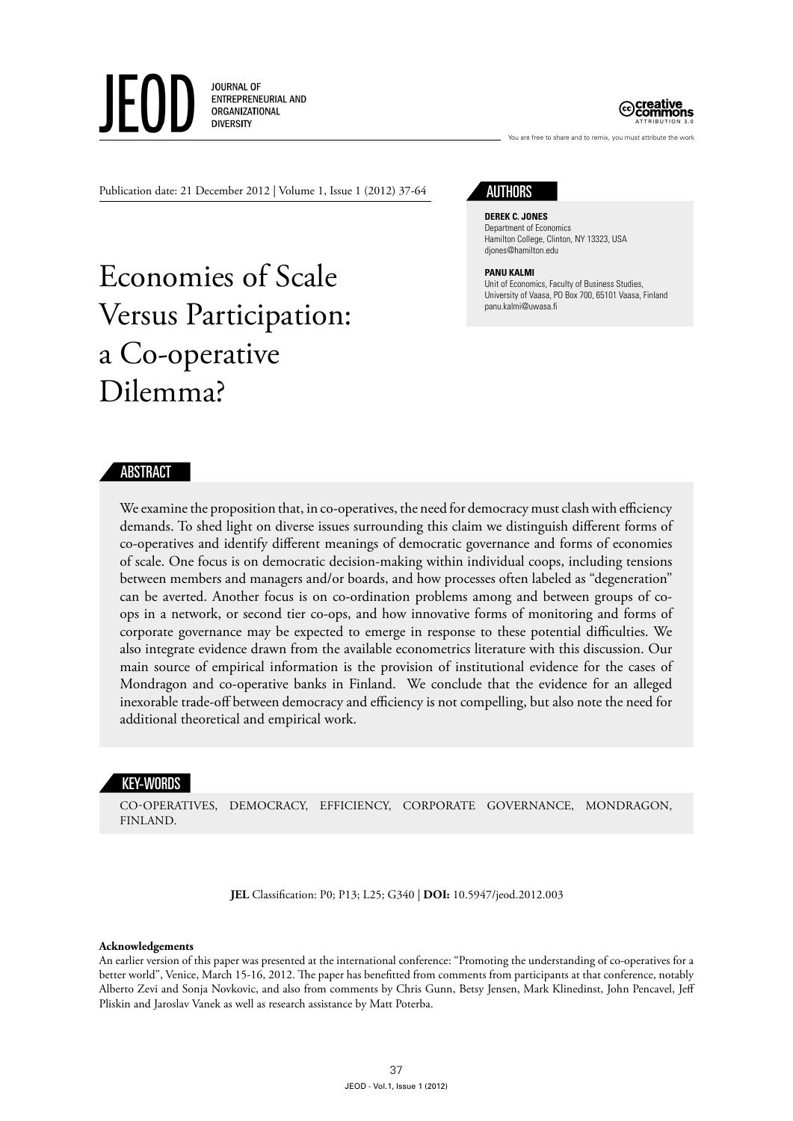JOURNAL OF ENTREPRENEURIAL AND ORGANIZATIONAL **DIVERSITY** 



Publication date: 21 December 2012 | Volume 1, Issue 1 (2012) 37-64

# Economies of Scale Versus Participation: a Co-operative Dilemma?

# **AUTHORS**

#### **Derek C. Jones** Department of Economics Hamilton College, Clinton, NY 13323, USA djones@hamilton.edu

#### **Panu Kalmi**

Unit of Economics, Faculty of Business Studies, University of Vaasa, PO Box 700, 65101 Vaasa, Finland panu.kalmi@uwasa.fi

You are free to share and to remix, you must attribute the work

# ABSTRACT

We examine the proposition that, in co-operatives, the need for democracy must clash with efficiency demands. To shed light on diverse issues surrounding this claim we distinguish different forms of co-operatives and identify different meanings of democratic governance and forms of economies of scale. One focus is on democratic decision-making within individual coops, including tensions between members and managers and/or boards, and how processes often labeled as "degeneration" can be averted. Another focus is on co-ordination problems among and between groups of coops in a network, or second tier co-ops, and how innovative forms of monitoring and forms of corporate governance may be expected to emerge in response to these potential difficulties. We also integrate evidence drawn from the available econometrics literature with this discussion. Our main source of empirical information is the provision of institutional evidence for the cases of Mondragon and co-operative banks in Finland. We conclude that the evidence for an alleged inexorable trade-off between democracy and efficiency is not compelling, but also note the need for additional theoretical and empirical work.

#### KEY-WORDS

co-operatives, democracy, efficiency, corporate governance, Mondragon, Finland.

**JEL** Classification: P0; P13; L25; G340 | **DOI:** 10.5947/jeod.2012.003

#### **Acknowledgements**

An earlier version of this paper was presented at the international conference: "Promoting the understanding of co-operatives for a better world", Venice, March 15-16, 2012. The paper has benefitted from comments from participants at that conference, notably Alberto Zevi and Sonja Novkovic, and also from comments by Chris Gunn, Betsy Jensen, Mark Klinedinst, John Pencavel, Jeff Pliskin and Jaroslav Vanek as well as research assistance by Matt Poterba.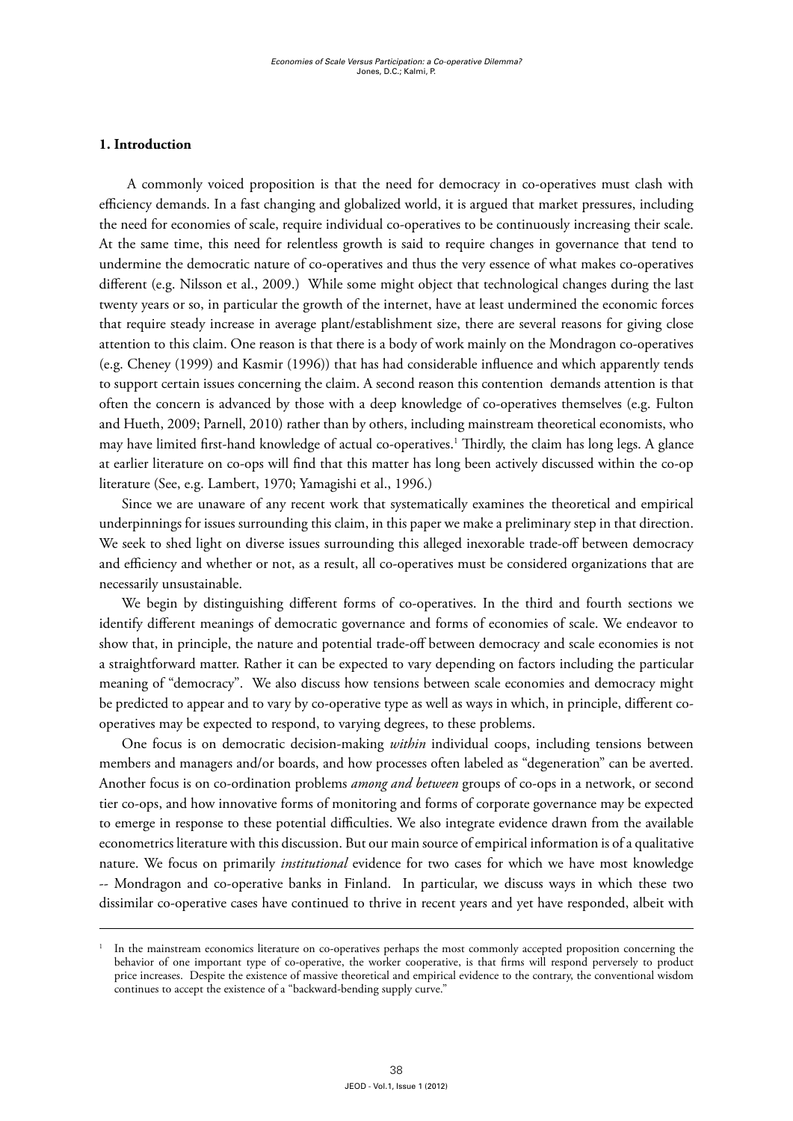## **1. Introduction**

 A commonly voiced proposition is that the need for democracy in co-operatives must clash with efficiency demands. In a fast changing and globalized world, it is argued that market pressures, including the need for economies of scale, require individual co-operatives to be continuously increasing their scale. At the same time, this need for relentless growth is said to require changes in governance that tend to undermine the democratic nature of co-operatives and thus the very essence of what makes co-operatives different (e.g. Nilsson et al., 2009.) While some might object that technological changes during the last twenty years or so, in particular the growth of the internet, have at least undermined the economic forces that require steady increase in average plant/establishment size, there are several reasons for giving close attention to this claim. One reason is that there is a body of work mainly on the Mondragon co-operatives (e.g. Cheney (1999) and Kasmir (1996)) that has had considerable influence and which apparently tends to support certain issues concerning the claim. A second reason this contention demands attention is that often the concern is advanced by those with a deep knowledge of co-operatives themselves (e.g. Fulton and Hueth, 2009; Parnell, 2010) rather than by others, including mainstream theoretical economists, who may have limited first-hand knowledge of actual co-operatives.1 Thirdly, the claim has long legs. A glance at earlier literature on co-ops will find that this matter has long been actively discussed within the co-op literature (See, e.g. Lambert, 1970; Yamagishi et al., 1996.)

Since we are unaware of any recent work that systematically examines the theoretical and empirical underpinnings for issues surrounding this claim, in this paper we make a preliminary step in that direction. We seek to shed light on diverse issues surrounding this alleged inexorable trade-off between democracy and efficiency and whether or not, as a result, all co-operatives must be considered organizations that are necessarily unsustainable.

We begin by distinguishing different forms of co-operatives. In the third and fourth sections we identify different meanings of democratic governance and forms of economies of scale. We endeavor to show that, in principle, the nature and potential trade-off between democracy and scale economies is not a straightforward matter. Rather it can be expected to vary depending on factors including the particular meaning of "democracy". We also discuss how tensions between scale economies and democracy might be predicted to appear and to vary by co-operative type as well as ways in which, in principle, different cooperatives may be expected to respond, to varying degrees, to these problems.

One focus is on democratic decision-making *within* individual coops, including tensions between members and managers and/or boards, and how processes often labeled as "degeneration" can be averted. Another focus is on co-ordination problems *among and between* groups of co-ops in a network, or second tier co-ops, and how innovative forms of monitoring and forms of corporate governance may be expected to emerge in response to these potential difficulties. We also integrate evidence drawn from the available econometrics literature with this discussion. But our main source of empirical information is of a qualitative nature. We focus on primarily *institutional* evidence for two cases for which we have most knowledge -- Mondragon and co-operative banks in Finland. In particular, we discuss ways in which these two dissimilar co-operative cases have continued to thrive in recent years and yet have responded, albeit with

<sup>1</sup> In the mainstream economics literature on co-operatives perhaps the most commonly accepted proposition concerning the behavior of one important type of co-operative, the worker cooperative, is that firms will respond perversely to product price increases. Despite the existence of massive theoretical and empirical evidence to the contrary, the conventional wisdom continues to accept the existence of a "backward-bending supply curve."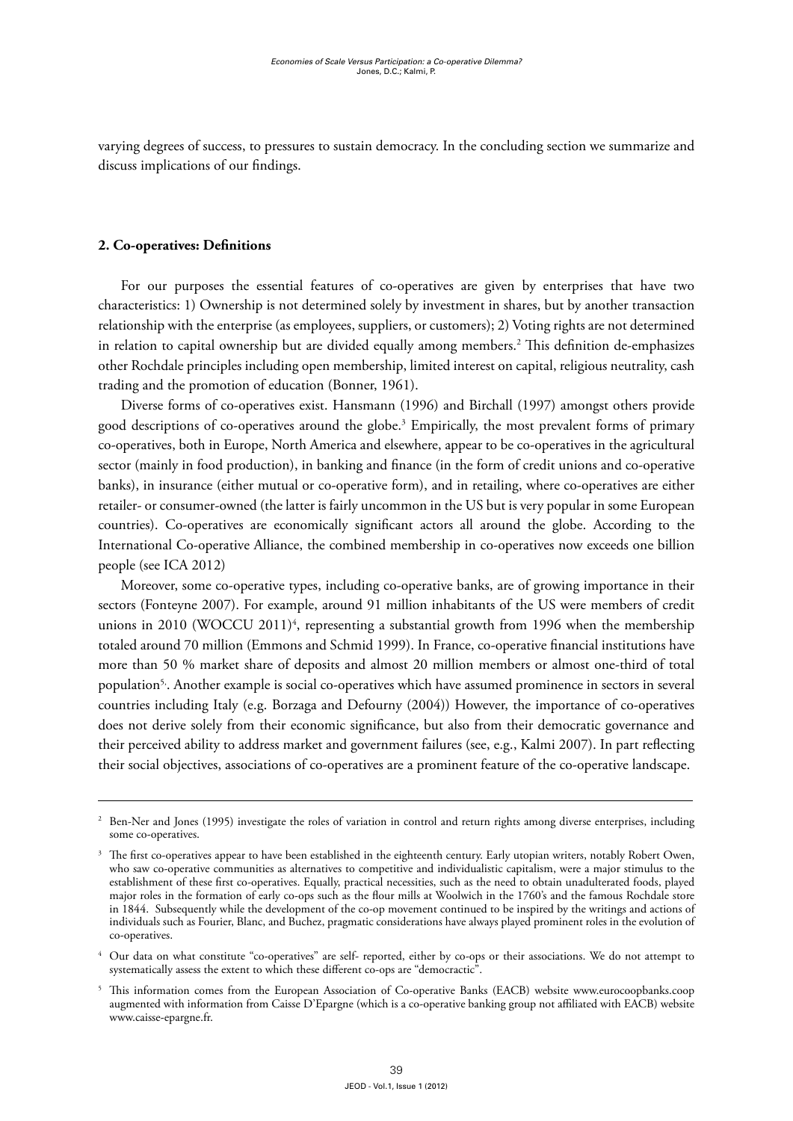varying degrees of success, to pressures to sustain democracy. In the concluding section we summarize and discuss implications of our findings.

#### **2. Co-operatives: Definitions**

For our purposes the essential features of co-operatives are given by enterprises that have two characteristics: 1) Ownership is not determined solely by investment in shares, but by another transaction relationship with the enterprise (as employees, suppliers, or customers); 2) Voting rights are not determined in relation to capital ownership but are divided equally among members.2 This definition de-emphasizes other Rochdale principles including open membership, limited interest on capital, religious neutrality, cash trading and the promotion of education (Bonner, 1961).

Diverse forms of co-operatives exist. Hansmann (1996) and Birchall (1997) amongst others provide good descriptions of co-operatives around the globe.3 Empirically, the most prevalent forms of primary co-operatives, both in Europe, North America and elsewhere, appear to be co-operatives in the agricultural sector (mainly in food production), in banking and finance (in the form of credit unions and co-operative banks), in insurance (either mutual or co-operative form), and in retailing, where co-operatives are either retailer- or consumer-owned (the latter is fairly uncommon in the US but is very popular in some European countries). Co-operatives are economically significant actors all around the globe. According to the International Co-operative Alliance, the combined membership in co-operatives now exceeds one billion people (see ICA 2012)

Moreover, some co-operative types, including co-operative banks, are of growing importance in their sectors (Fonteyne 2007). For example, around 91 million inhabitants of the US were members of credit unions in 2010 (WOCCU 2011)<sup>4</sup>, representing a substantial growth from 1996 when the membership totaled around 70 million (Emmons and Schmid 1999). In France, co-operative financial institutions have more than 50 % market share of deposits and almost 20 million members or almost one-third of total population5,. Another example is social co-operatives which have assumed prominence in sectors in several countries including Italy (e.g. Borzaga and Defourny (2004)) However, the importance of co-operatives does not derive solely from their economic significance, but also from their democratic governance and their perceived ability to address market and government failures (see, e.g., Kalmi 2007). In part reflecting their social objectives, associations of co-operatives are a prominent feature of the co-operative landscape.

<sup>&</sup>lt;sup>2</sup> Ben-Ner and Jones (1995) investigate the roles of variation in control and return rights among diverse enterprises, including some co-operatives.

<sup>&</sup>lt;sup>3</sup> The first co-operatives appear to have been established in the eighteenth century. Early utopian writers, notably Robert Owen, who saw co-operative communities as alternatives to competitive and individualistic capitalism, were a major stimulus to the establishment of these first co-operatives. Equally, practical necessities, such as the need to obtain unadulterated foods, played major roles in the formation of early co-ops such as the flour mills at Woolwich in the 1760's and the famous Rochdale store in 1844. Subsequently while the development of the co-op movement continued to be inspired by the writings and actions of individuals such as Fourier, Blanc, and Buchez, pragmatic considerations have always played prominent roles in the evolution of co-operatives.

<sup>4</sup> Our data on what constitute "co-operatives" are self- reported, either by co-ops or their associations. We do not attempt to systematically assess the extent to which these different co-ops are "democractic"

<sup>5</sup> This information comes from the European Association of Co-operative Banks (EACB) website [www.eurocoopbanks.coop](http://www.eurocoopbanks.coop)  augmented with information from Caisse D'Epargne (which is a co-operative banking group not affiliated with EACB) website [www.caisse-epargne.fr.](http://www.caisse-epargne.fr)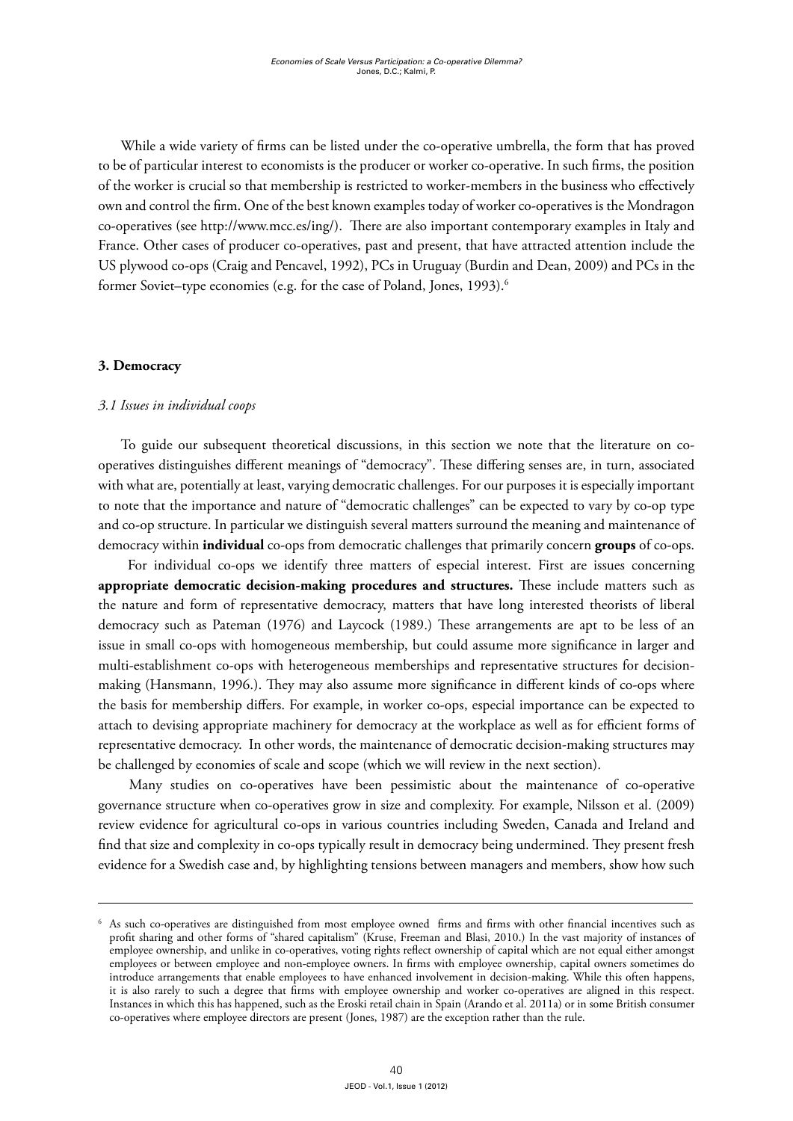While a wide variety of firms can be listed under the co-operative umbrella, the form that has proved to be of particular interest to economists is the producer or worker co-operative. In such firms, the position of the worker is crucial so that membership is restricted to worker-members in the business who effectively own and control the firm. One of the best known examples today of worker co-operatives is the Mondragon co-operatives (see [http://www.mcc.es/ing/\)](http://www.mcc.es/ing/). There are also important contemporary examples in Italy and France. Other cases of producer co-operatives, past and present, that have attracted attention include the US plywood co-ops (Craig and Pencavel, 1992), PCs in Uruguay (Burdin and Dean, 2009) and PCs in the former Soviet–type economies (e.g. for the case of Poland, Jones, 1993).<sup>6</sup>

#### **3. Democracy**

#### *3.1 Issues in individual coops*

To guide our subsequent theoretical discussions, in this section we note that the literature on cooperatives distinguishes different meanings of "democracy". These differing senses are, in turn, associated with what are, potentially at least, varying democratic challenges. For our purposes it is especially important to note that the importance and nature of "democratic challenges" can be expected to vary by co-op type and co-op structure. In particular we distinguish several matters surround the meaning and maintenance of democracy within **individual** co-ops from democratic challenges that primarily concern **groups** of co-ops.

 For individual co-ops we identify three matters of especial interest. First are issues concerning **appropriate democratic decision-making procedures and structures.** These include matters such as the nature and form of representative democracy, matters that have long interested theorists of liberal democracy such as Pateman (1976) and Laycock (1989.) These arrangements are apt to be less of an issue in small co-ops with homogeneous membership, but could assume more significance in larger and multi-establishment co-ops with heterogeneous memberships and representative structures for decisionmaking (Hansmann, 1996.). They may also assume more significance in different kinds of co-ops where the basis for membership differs. For example, in worker co-ops, especial importance can be expected to attach to devising appropriate machinery for democracy at the workplace as well as for efficient forms of representative democracy. In other words, the maintenance of democratic decision-making structures may be challenged by economies of scale and scope (which we will review in the next section).

 Many studies on co-operatives have been pessimistic about the maintenance of co-operative governance structure when co-operatives grow in size and complexity. For example, Nilsson et al. (2009) review evidence for agricultural co-ops in various countries including Sweden, Canada and Ireland and find that size and complexity in co-ops typically result in democracy being undermined. They present fresh evidence for a Swedish case and, by highlighting tensions between managers and members, show how such

<sup>6</sup> As such co-operatives are distinguished from most employee owned firms and firms with other financial incentives such as profit sharing and other forms of "shared capitalism" (Kruse, Freeman and Blasi, 2010.) In the vast majority of instances of employee ownership, and unlike in co-operatives, voting rights reflect ownership of capital which are not equal either amongst employees or between employee and non-employee owners. In firms with employee ownership, capital owners sometimes do introduce arrangements that enable employees to have enhanced involvement in decision-making. While this often happens, it is also rarely to such a degree that firms with employee ownership and worker co-operatives are aligned in this respect. Instances in which this has happened, such as the Eroski retail chain in Spain (Arando et al. 2011a) or in some British consumer co-operatives where employee directors are present (Jones, 1987) are the exception rather than the rule.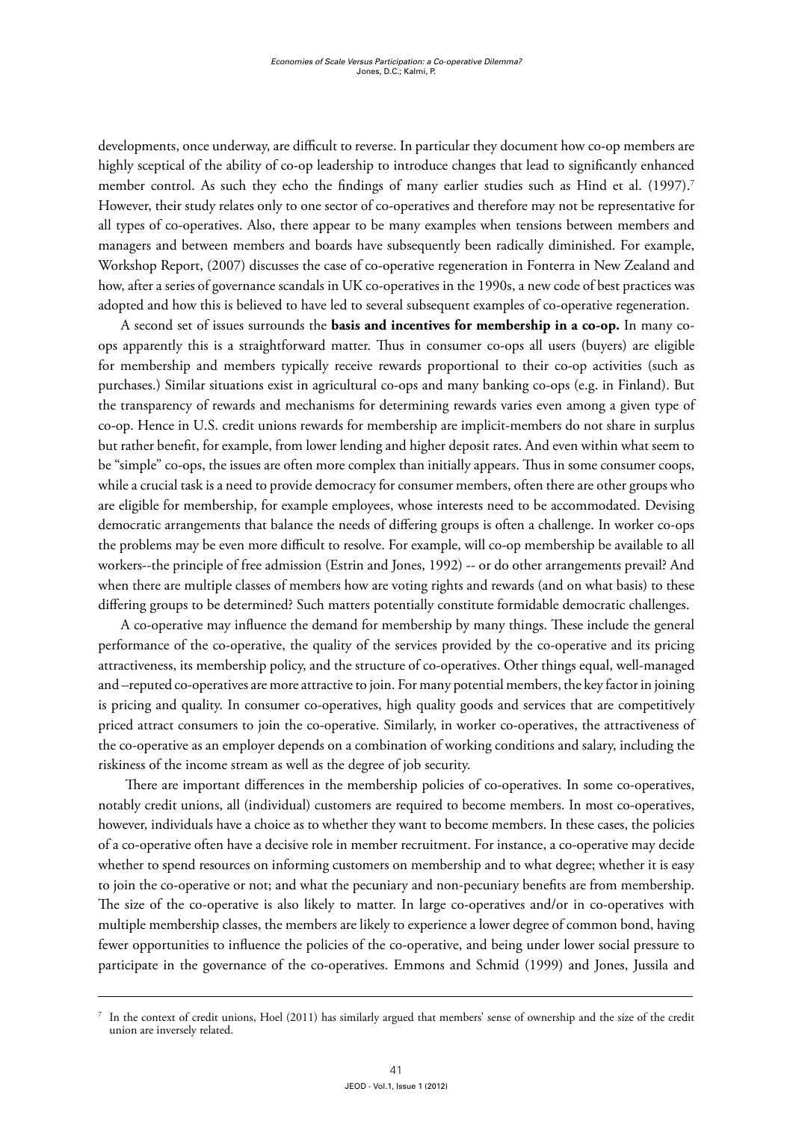developments, once underway, are difficult to reverse. In particular they document how co-op members are highly sceptical of the ability of co-op leadership to introduce changes that lead to significantly enhanced member control. As such they echo the findings of many earlier studies such as Hind et al. (1997).<sup>7</sup> However, their study relates only to one sector of co-operatives and therefore may not be representative for all types of co-operatives. Also, there appear to be many examples when tensions between members and managers and between members and boards have subsequently been radically diminished. For example, Workshop Report, (2007) discusses the case of co-operative regeneration in Fonterra in New Zealand and how, after a series of governance scandals in UK co-operatives in the 1990s, a new code of best practices was adopted and how this is believed to have led to several subsequent examples of co-operative regeneration.

A second set of issues surrounds the **basis and incentives for membership in a co-op.** In many coops apparently this is a straightforward matter. Thus in consumer co-ops all users (buyers) are eligible for membership and members typically receive rewards proportional to their co-op activities (such as purchases.) Similar situations exist in agricultural co-ops and many banking co-ops (e.g. in Finland). But the transparency of rewards and mechanisms for determining rewards varies even among a given type of co-op. Hence in U.S. credit unions rewards for membership are implicit-members do not share in surplus but rather benefit, for example, from lower lending and higher deposit rates. And even within what seem to be "simple" co-ops, the issues are often more complex than initially appears. Thus in some consumer coops, while a crucial task is a need to provide democracy for consumer members, often there are other groups who are eligible for membership, for example employees, whose interests need to be accommodated. Devising democratic arrangements that balance the needs of differing groups is often a challenge. In worker co-ops the problems may be even more difficult to resolve. For example, will co-op membership be available to all workers--the principle of free admission (Estrin and Jones, 1992) -- or do other arrangements prevail? And when there are multiple classes of members how are voting rights and rewards (and on what basis) to these differing groups to be determined? Such matters potentially constitute formidable democratic challenges.

A co-operative may influence the demand for membership by many things. These include the general performance of the co-operative, the quality of the services provided by the co-operative and its pricing attractiveness, its membership policy, and the structure of co-operatives. Other things equal, well-managed and –reputed co-operatives are more attractive to join. For many potential members, the key factor in joining is pricing and quality. In consumer co-operatives, high quality goods and services that are competitively priced attract consumers to join the co-operative. Similarly, in worker co-operatives, the attractiveness of the co-operative as an employer depends on a combination of working conditions and salary, including the riskiness of the income stream as well as the degree of job security.

 There are important differences in the membership policies of co-operatives. In some co-operatives, notably credit unions, all (individual) customers are required to become members. In most co-operatives, however, individuals have a choice as to whether they want to become members. In these cases, the policies of a co-operative often have a decisive role in member recruitment. For instance, a co-operative may decide whether to spend resources on informing customers on membership and to what degree; whether it is easy to join the co-operative or not; and what the pecuniary and non-pecuniary benefits are from membership. The size of the co-operative is also likely to matter. In large co-operatives and/or in co-operatives with multiple membership classes, the members are likely to experience a lower degree of common bond, having fewer opportunities to influence the policies of the co-operative, and being under lower social pressure to participate in the governance of the co-operatives. Emmons and Schmid (1999) and Jones, Jussila and

 $^7$  In the context of credit unions, Hoel (2011) has similarly argued that members' sense of ownership and the size of the credit union are inversely related.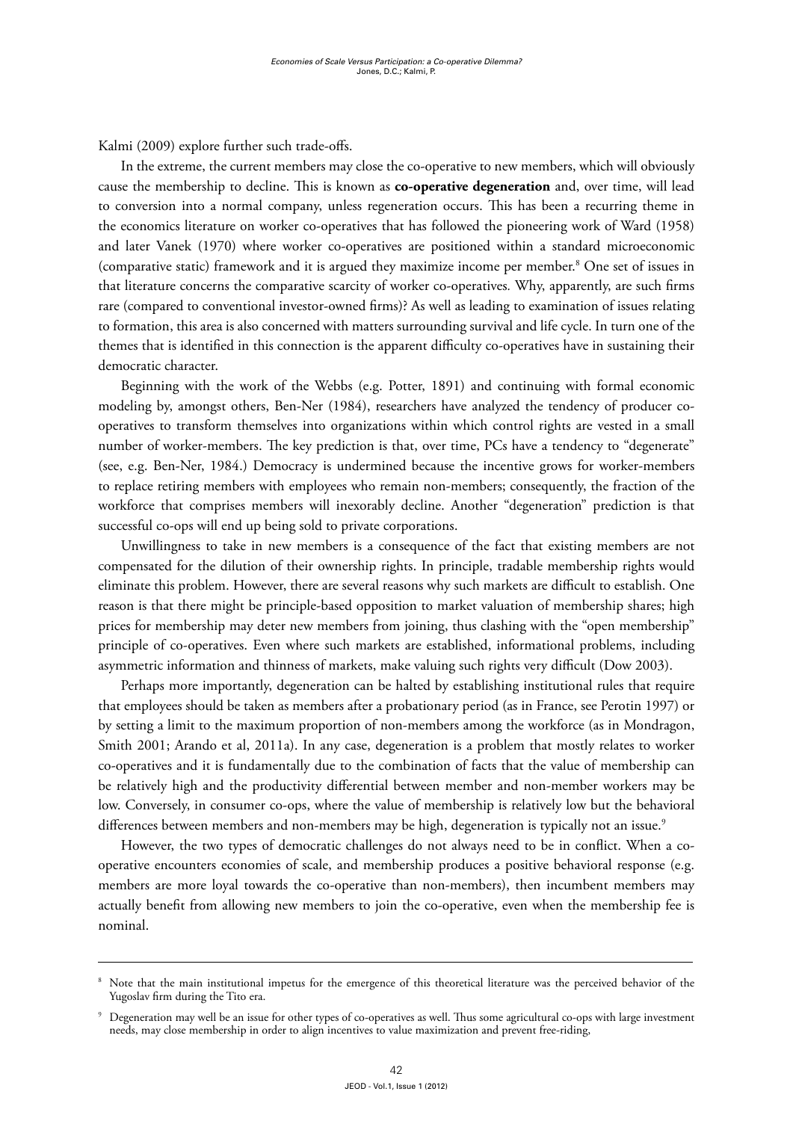Kalmi (2009) explore further such trade-offs.

In the extreme, the current members may close the co-operative to new members, which will obviously cause the membership to decline. This is known as **co-operative degeneration** and, over time, will lead to conversion into a normal company, unless regeneration occurs. This has been a recurring theme in the economics literature on worker co-operatives that has followed the pioneering work of Ward (1958) and later Vanek (1970) where worker co-operatives are positioned within a standard microeconomic (comparative static) framework and it is argued they maximize income per member.<sup>8</sup> One set of issues in that literature concerns the comparative scarcity of worker co-operatives*.* Why, apparently, are such firms rare (compared to conventional investor-owned firms)? As well as leading to examination of issues relating to formation, this area is also concerned with matters surrounding survival and life cycle. In turn one of the themes that is identified in this connection is the apparent difficulty co-operatives have in sustaining their democratic character.

Beginning with the work of the Webbs (e.g. Potter, 1891) and continuing with formal economic modeling by, amongst others, Ben-Ner (1984), researchers have analyzed the tendency of producer cooperatives to transform themselves into organizations within which control rights are vested in a small number of worker-members. The key prediction is that, over time, PCs have a tendency to "degenerate" (see, e.g. Ben-Ner, 1984.) Democracy is undermined because the incentive grows for worker-members to replace retiring members with employees who remain non-members; consequently, the fraction of the workforce that comprises members will inexorably decline. Another "degeneration" prediction is that successful co-ops will end up being sold to private corporations.

Unwillingness to take in new members is a consequence of the fact that existing members are not compensated for the dilution of their ownership rights. In principle, tradable membership rights would eliminate this problem. However, there are several reasons why such markets are difficult to establish. One reason is that there might be principle-based opposition to market valuation of membership shares; high prices for membership may deter new members from joining, thus clashing with the "open membership" principle of co-operatives. Even where such markets are established, informational problems, including asymmetric information and thinness of markets, make valuing such rights very difficult (Dow 2003).

Perhaps more importantly, degeneration can be halted by establishing institutional rules that require that employees should be taken as members after a probationary period (as in France, see Perotin 1997) or by setting a limit to the maximum proportion of non-members among the workforce (as in Mondragon, Smith 2001; Arando et al, 2011a). In any case, degeneration is a problem that mostly relates to worker co-operatives and it is fundamentally due to the combination of facts that the value of membership can be relatively high and the productivity differential between member and non-member workers may be low. Conversely, in consumer co-ops, where the value of membership is relatively low but the behavioral differences between members and non-members may be high, degeneration is typically not an issue.<sup>9</sup>

However, the two types of democratic challenges do not always need to be in conflict. When a cooperative encounters economies of scale, and membership produces a positive behavioral response (e.g. members are more loyal towards the co-operative than non-members), then incumbent members may actually benefit from allowing new members to join the co-operative, even when the membership fee is nominal.

<sup>&</sup>lt;sup>8</sup> Note that the main institutional impetus for the emergence of this theoretical literature was the perceived behavior of the Yugoslav firm during the Tito era.

<sup>9</sup> Degeneration may well be an issue for other types of co-operatives as well. Thus some agricultural co-ops with large investment needs, may close membership in order to align incentives to value maximization and prevent free-riding,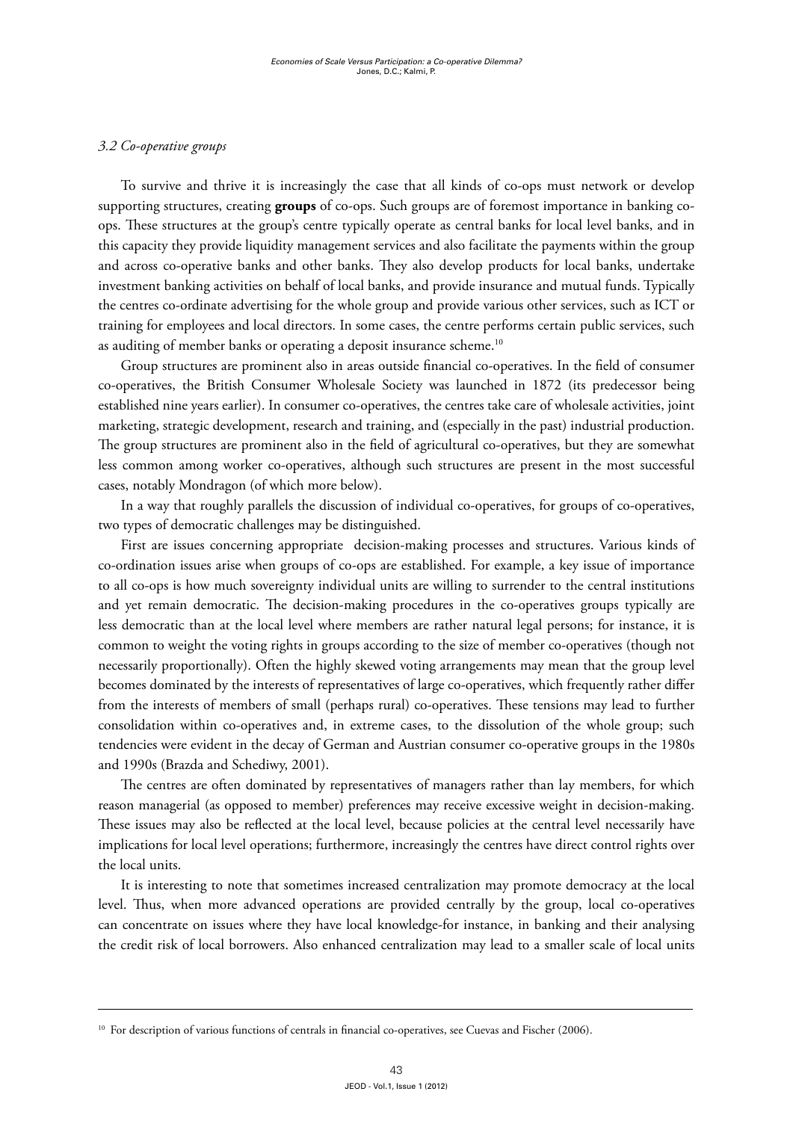## *3.2 Co-operative groups*

To survive and thrive it is increasingly the case that all kinds of co-ops must network or develop supporting structures, creating **groups** of co-ops. Such groups are of foremost importance in banking coops. These structures at the group's centre typically operate as central banks for local level banks, and in this capacity they provide liquidity management services and also facilitate the payments within the group and across co-operative banks and other banks. They also develop products for local banks, undertake investment banking activities on behalf of local banks, and provide insurance and mutual funds. Typically the centres co-ordinate advertising for the whole group and provide various other services, such as ICT or training for employees and local directors. In some cases, the centre performs certain public services, such as auditing of member banks or operating a deposit insurance scheme.<sup>10</sup>

Group structures are prominent also in areas outside financial co-operatives. In the field of consumer co-operatives, the British Consumer Wholesale Society was launched in 1872 (its predecessor being established nine years earlier). In consumer co-operatives, the centres take care of wholesale activities, joint marketing, strategic development, research and training, and (especially in the past) industrial production. The group structures are prominent also in the field of agricultural co-operatives, but they are somewhat less common among worker co-operatives, although such structures are present in the most successful cases, notably Mondragon (of which more below).

In a way that roughly parallels the discussion of individual co-operatives, for groups of co-operatives, two types of democratic challenges may be distinguished.

First are issues concerning appropriate decision-making processes and structures. Various kinds of co-ordination issues arise when groups of co-ops are established. For example, a key issue of importance to all co-ops is how much sovereignty individual units are willing to surrender to the central institutions and yet remain democratic. The decision-making procedures in the co-operatives groups typically are less democratic than at the local level where members are rather natural legal persons; for instance, it is common to weight the voting rights in groups according to the size of member co-operatives (though not necessarily proportionally). Often the highly skewed voting arrangements may mean that the group level becomes dominated by the interests of representatives of large co-operatives, which frequently rather differ from the interests of members of small (perhaps rural) co-operatives. These tensions may lead to further consolidation within co-operatives and, in extreme cases, to the dissolution of the whole group; such tendencies were evident in the decay of German and Austrian consumer co-operative groups in the 1980s and 1990s (Brazda and Schediwy, 2001).

The centres are often dominated by representatives of managers rather than lay members, for which reason managerial (as opposed to member) preferences may receive excessive weight in decision-making. These issues may also be reflected at the local level, because policies at the central level necessarily have implications for local level operations; furthermore, increasingly the centres have direct control rights over the local units.

It is interesting to note that sometimes increased centralization may promote democracy at the local level. Thus, when more advanced operations are provided centrally by the group, local co-operatives can concentrate on issues where they have local knowledge-for instance, in banking and their analysing the credit risk of local borrowers. Also enhanced centralization may lead to a smaller scale of local units

<sup>&</sup>lt;sup>10</sup> For description of various functions of centrals in financial co-operatives, see Cuevas and Fischer (2006).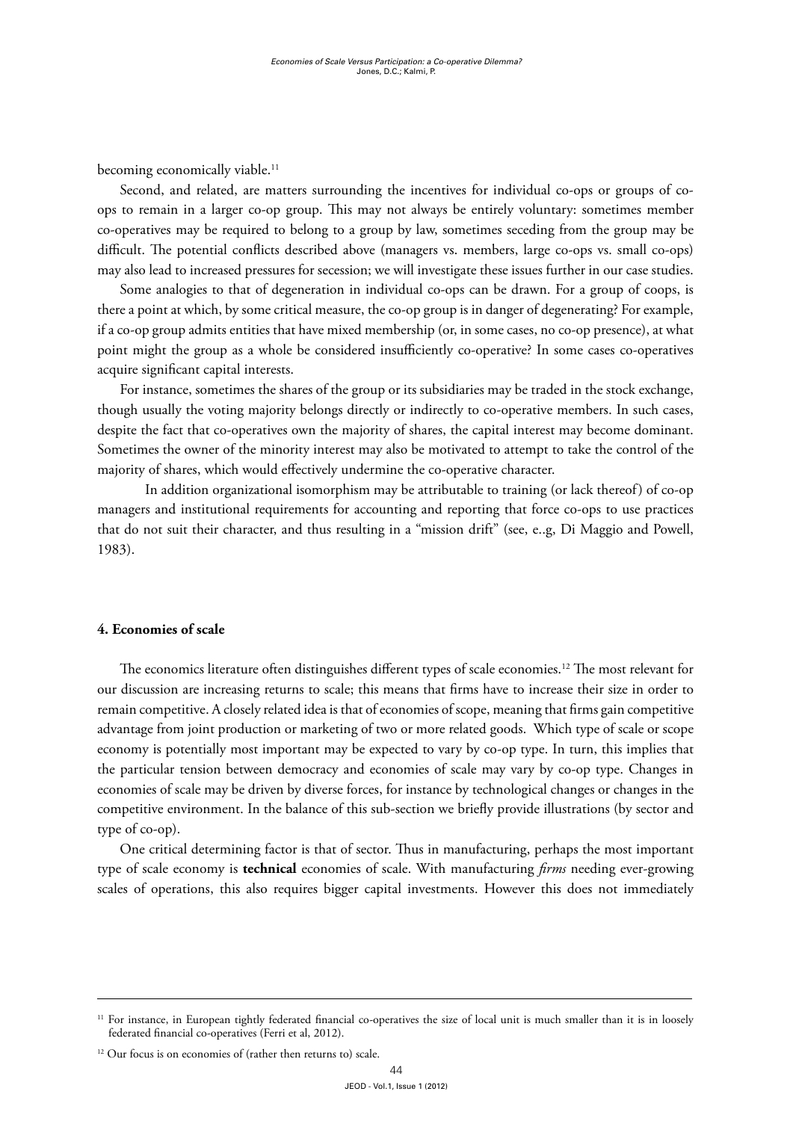becoming economically viable.<sup>11</sup>

Second, and related, are matters surrounding the incentives for individual co-ops or groups of coops to remain in a larger co-op group. This may not always be entirely voluntary: sometimes member co-operatives may be required to belong to a group by law, sometimes seceding from the group may be difficult. The potential conflicts described above (managers vs. members, large co-ops vs. small co-ops) may also lead to increased pressures for secession; we will investigate these issues further in our case studies.

Some analogies to that of degeneration in individual co-ops can be drawn. For a group of coops, is there a point at which, by some critical measure, the co-op group is in danger of degenerating? For example, if a co-op group admits entities that have mixed membership (or, in some cases, no co-op presence), at what point might the group as a whole be considered insufficiently co-operative? In some cases co-operatives acquire significant capital interests.

For instance, sometimes the shares of the group or its subsidiaries may be traded in the stock exchange, though usually the voting majority belongs directly or indirectly to co-operative members. In such cases, despite the fact that co-operatives own the majority of shares, the capital interest may become dominant. Sometimes the owner of the minority interest may also be motivated to attempt to take the control of the majority of shares, which would effectively undermine the co-operative character.

 In addition organizational isomorphism may be attributable to training (or lack thereof) of co-op managers and institutional requirements for accounting and reporting that force co-ops to use practices that do not suit their character, and thus resulting in a "mission drift" (see, e..g, Di Maggio and Powell, 1983).

#### **4. Economies of scale**

The economics literature often distinguishes different types of scale economies.<sup>12</sup> The most relevant for our discussion are increasing returns to scale; this means that firms have to increase their size in order to remain competitive. A closely related idea is that of economies of scope, meaning that firms gain competitive advantage from joint production or marketing of two or more related goods. Which type of scale or scope economy is potentially most important may be expected to vary by co-op type. In turn, this implies that the particular tension between democracy and economies of scale may vary by co-op type. Changes in economies of scale may be driven by diverse forces, for instance by technological changes or changes in the competitive environment. In the balance of this sub-section we briefly provide illustrations (by sector and type of co-op).

One critical determining factor is that of sector. Thus in manufacturing, perhaps the most important type of scale economy is **technical** economies of scale. With manufacturing *firms* needing ever-growing scales of operations, this also requires bigger capital investments. However this does not immediately

<sup>&</sup>lt;sup>11</sup> For instance, in European tightly federated financial co-operatives the size of local unit is much smaller than it is in loosely federated financial co-operatives (Ferri et al, 2012).

<sup>&</sup>lt;sup>12</sup> Our focus is on economies of (rather then returns to) scale.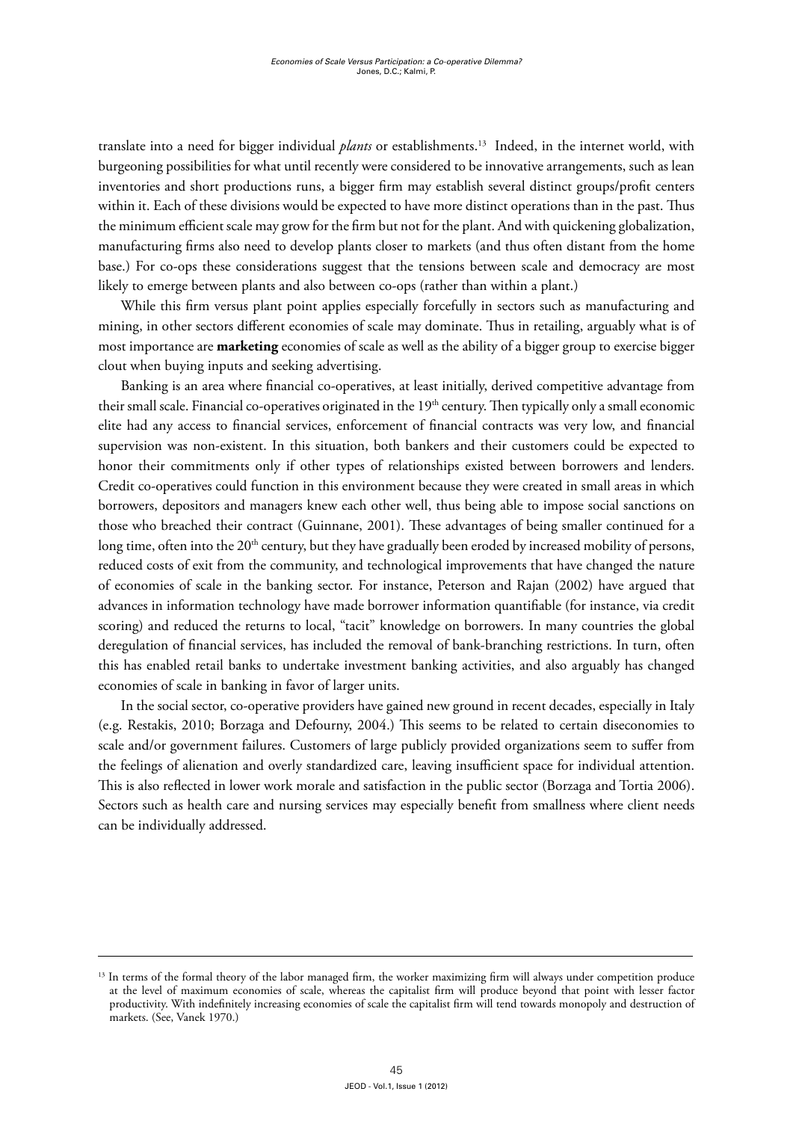translate into a need for bigger individual *plants* or establishments.13 Indeed, in the internet world, with burgeoning possibilities for what until recently were considered to be innovative arrangements, such as lean inventories and short productions runs, a bigger firm may establish several distinct groups/profit centers within it. Each of these divisions would be expected to have more distinct operations than in the past. Thus the minimum efficient scale may grow for the firm but not for the plant. And with quickening globalization, manufacturing firms also need to develop plants closer to markets (and thus often distant from the home base.) For co-ops these considerations suggest that the tensions between scale and democracy are most likely to emerge between plants and also between co-ops (rather than within a plant.)

While this firm versus plant point applies especially forcefully in sectors such as manufacturing and mining, in other sectors different economies of scale may dominate. Thus in retailing, arguably what is of most importance are **marketing** economies of scale as well as the ability of a bigger group to exercise bigger clout when buying inputs and seeking advertising.

Banking is an area where financial co-operatives, at least initially, derived competitive advantage from their small scale. Financial co-operatives originated in the 19<sup>th</sup> century. Then typically only a small economic elite had any access to financial services, enforcement of financial contracts was very low, and financial supervision was non-existent. In this situation, both bankers and their customers could be expected to honor their commitments only if other types of relationships existed between borrowers and lenders. Credit co-operatives could function in this environment because they were created in small areas in which borrowers, depositors and managers knew each other well, thus being able to impose social sanctions on those who breached their contract (Guinnane, 2001). These advantages of being smaller continued for a long time, often into the 20<sup>th</sup> century, but they have gradually been eroded by increased mobility of persons, reduced costs of exit from the community, and technological improvements that have changed the nature of economies of scale in the banking sector. For instance, Peterson and Rajan (2002) have argued that advances in information technology have made borrower information quantifiable (for instance, via credit scoring) and reduced the returns to local, "tacit" knowledge on borrowers. In many countries the global deregulation of financial services, has included the removal of bank-branching restrictions. In turn, often this has enabled retail banks to undertake investment banking activities, and also arguably has changed economies of scale in banking in favor of larger units.

In the social sector, co-operative providers have gained new ground in recent decades, especially in Italy (e.g. Restakis, 2010; Borzaga and Defourny, 2004.) This seems to be related to certain diseconomies to scale and/or government failures. Customers of large publicly provided organizations seem to suffer from the feelings of alienation and overly standardized care, leaving insufficient space for individual attention. This is also reflected in lower work morale and satisfaction in the public sector (Borzaga and Tortia 2006). Sectors such as health care and nursing services may especially benefit from smallness where client needs can be individually addressed.

<sup>&</sup>lt;sup>13</sup> In terms of the formal theory of the labor managed firm, the worker maximizing firm will always under competition produce at the level of maximum economies of scale, whereas the capitalist firm will produce beyond that point with lesser factor productivity. With indefinitely increasing economies of scale the capitalist firm will tend towards monopoly and destruction of markets. (See, Vanek 1970.)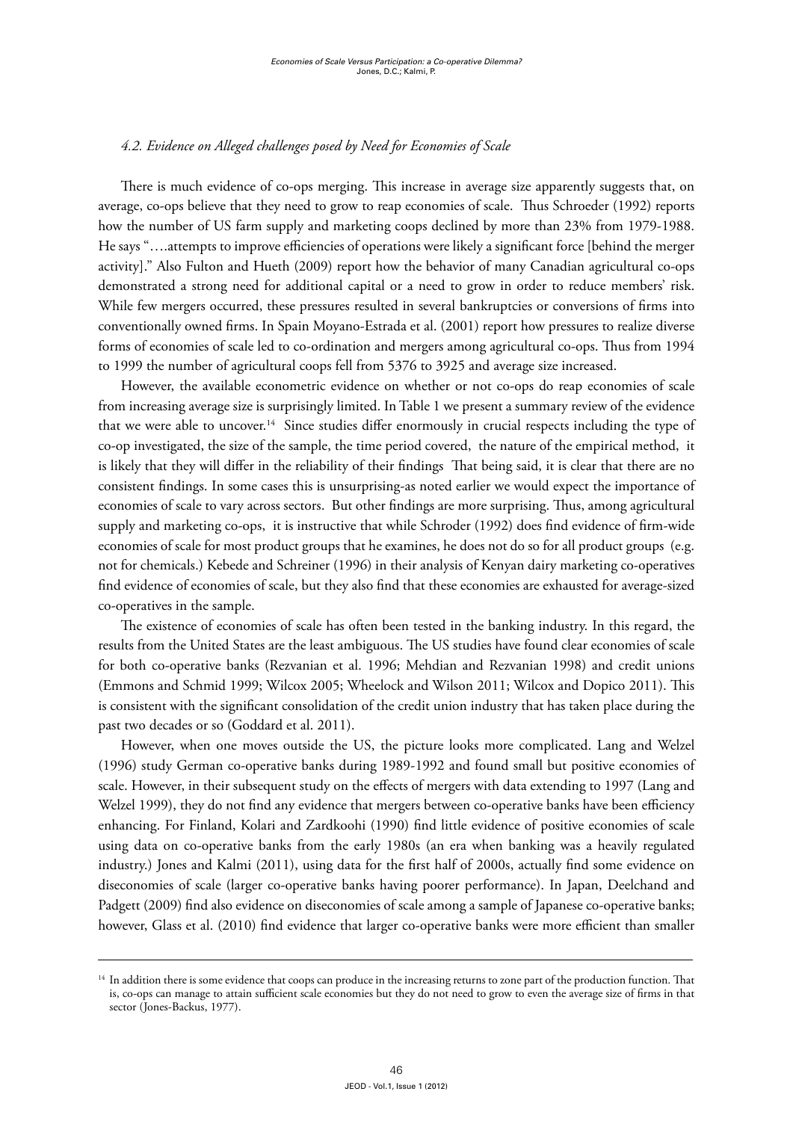## *4.2. Evidence on Alleged challenges posed by Need for Economies of Scale*

There is much evidence of co-ops merging. This increase in average size apparently suggests that, on average, co-ops believe that they need to grow to reap economies of scale. Thus Schroeder (1992) reports how the number of US farm supply and marketing coops declined by more than 23% from 1979-1988. He says "….attempts to improve efficiencies of operations were likely a significant force [behind the merger activity]." Also Fulton and Hueth (2009) report how the behavior of many Canadian agricultural co-ops demonstrated a strong need for additional capital or a need to grow in order to reduce members' risk. While few mergers occurred, these pressures resulted in several bankruptcies or conversions of firms into conventionally owned firms. In Spain Moyano-Estrada et al. (2001) report how pressures to realize diverse forms of economies of scale led to co-ordination and mergers among agricultural co-ops. Thus from 1994 to 1999 the number of agricultural coops fell from 5376 to 3925 and average size increased.

However, the available econometric evidence on whether or not co-ops do reap economies of scale from increasing average size is surprisingly limited. In Table 1 we present a summary review of the evidence that we were able to uncover.<sup>14</sup> Since studies differ enormously in crucial respects including the type of co-op investigated, the size of the sample, the time period covered, the nature of the empirical method, it is likely that they will differ in the reliability of their findings That being said, it is clear that there are no consistent findings. In some cases this is unsurprising-as noted earlier we would expect the importance of economies of scale to vary across sectors. But other findings are more surprising. Thus, among agricultural supply and marketing co-ops, it is instructive that while Schroder (1992) does find evidence of firm-wide economies of scale for most product groups that he examines, he does not do so for all product groups (e.g. not for chemicals.) Kebede and Schreiner (1996) in their analysis of Kenyan dairy marketing co-operatives find evidence of economies of scale, but they also find that these economies are exhausted for average-sized co-operatives in the sample.

The existence of economies of scale has often been tested in the banking industry. In this regard, the results from the United States are the least ambiguous. The US studies have found clear economies of scale for both co-operative banks (Rezvanian et al. 1996; Mehdian and Rezvanian 1998) and credit unions (Emmons and Schmid 1999; Wilcox 2005; Wheelock and Wilson 2011; Wilcox and Dopico 2011). This is consistent with the significant consolidation of the credit union industry that has taken place during the past two decades or so (Goddard et al. 2011).

However, when one moves outside the US, the picture looks more complicated. Lang and Welzel (1996) study German co-operative banks during 1989-1992 and found small but positive economies of scale. However, in their subsequent study on the effects of mergers with data extending to 1997 (Lang and Welzel 1999), they do not find any evidence that mergers between co-operative banks have been efficiency enhancing. For Finland, Kolari and Zardkoohi (1990) find little evidence of positive economies of scale using data on co-operative banks from the early 1980s (an era when banking was a heavily regulated industry.) Jones and Kalmi (2011), using data for the first half of 2000s, actually find some evidence on diseconomies of scale (larger co-operative banks having poorer performance). In Japan, Deelchand and Padgett (2009) find also evidence on diseconomies of scale among a sample of Japanese co-operative banks; however, Glass et al. (2010) find evidence that larger co-operative banks were more efficient than smaller

<sup>&</sup>lt;sup>14</sup> In addition there is some evidence that coops can produce in the increasing returns to zone part of the production function. That is, co-ops can manage to attain sufficient scale economies but they do not need to grow to even the average size of firms in that sector (Jones-Backus, 1977).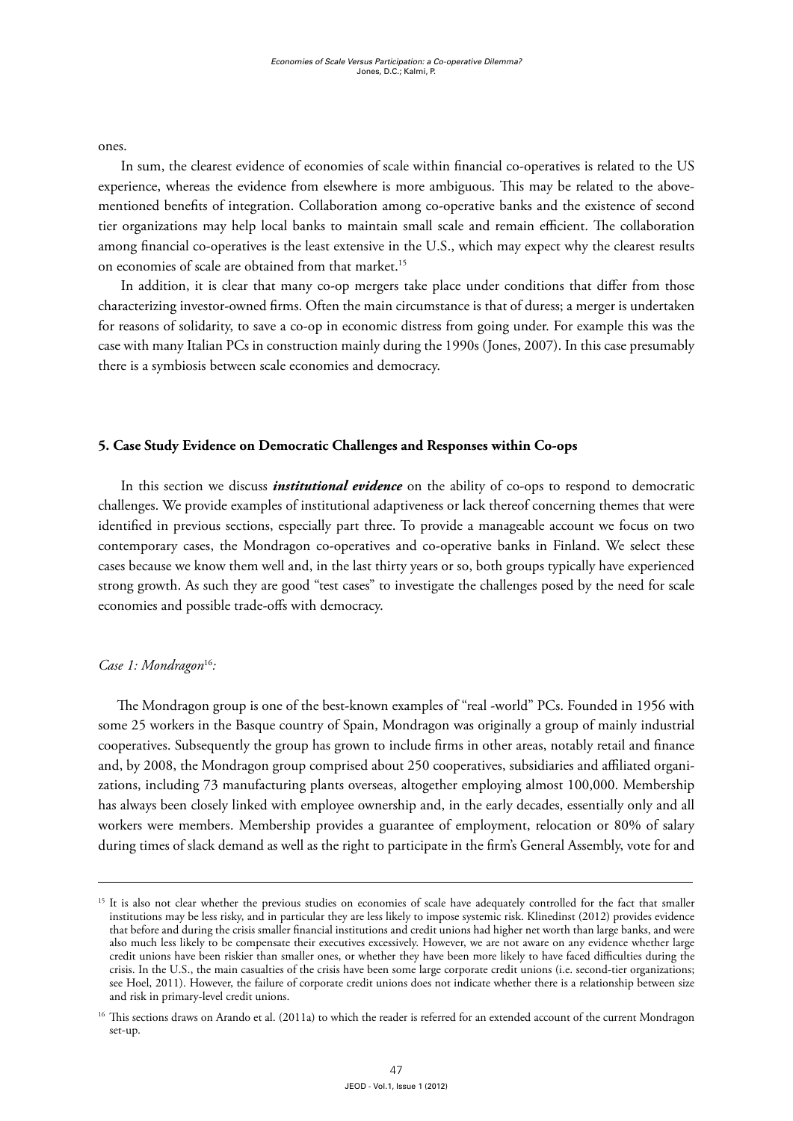ones.

In sum, the clearest evidence of economies of scale within financial co-operatives is related to the US experience, whereas the evidence from elsewhere is more ambiguous. This may be related to the abovementioned benefits of integration. Collaboration among co-operative banks and the existence of second tier organizations may help local banks to maintain small scale and remain efficient. The collaboration among financial co-operatives is the least extensive in the U.S., which may expect why the clearest results on economies of scale are obtained from that market.<sup>15</sup>

In addition, it is clear that many co-op mergers take place under conditions that differ from those characterizing investor-owned firms. Often the main circumstance is that of duress; a merger is undertaken for reasons of solidarity, to save a co-op in economic distress from going under. For example this was the case with many Italian PCs in construction mainly during the 1990s (Jones, 2007). In this case presumably there is a symbiosis between scale economies and democracy.

# **5. Case Study Evidence on Democratic Challenges and Responses within Co-ops**

In this section we discuss *institutional evidence* on the ability of co-ops to respond to democratic challenges. We provide examples of institutional adaptiveness or lack thereof concerning themes that were identified in previous sections, especially part three. To provide a manageable account we focus on two contemporary cases, the Mondragon co-operatives and co-operative banks in Finland. We select these cases because we know them well and, in the last thirty years or so, both groups typically have experienced strong growth. As such they are good "test cases" to investigate the challenges posed by the need for scale economies and possible trade-offs with democracy.

# *Case 1: Mondragon*<sup>16</sup>*:*

The Mondragon group is one of the best-known examples of "real -world" PCs. Founded in 1956 with some 25 workers in the Basque country of Spain, Mondragon was originally a group of mainly industrial cooperatives. Subsequently the group has grown to include firms in other areas, notably retail and finance and, by 2008, the Mondragon group comprised about 250 cooperatives, subsidiaries and affiliated organizations, including 73 manufacturing plants overseas, altogether employing almost 100,000. Membership has always been closely linked with employee ownership and, in the early decades, essentially only and all workers were members. Membership provides a guarantee of employment, relocation or 80% of salary during times of slack demand as well as the right to participate in the firm's General Assembly, vote for and

<sup>&</sup>lt;sup>15</sup> It is also not clear whether the previous studies on economies of scale have adequately controlled for the fact that smaller institutions may be less risky, and in particular they are less likely to impose systemic risk. Klinedinst (2012) provides evidence that before and during the crisis smaller financial institutions and credit unions had higher net worth than large banks, and were also much less likely to be compensate their executives excessively. However, we are not aware on any evidence whether large credit unions have been riskier than smaller ones, or whether they have been more likely to have faced difficulties during the crisis. In the U.S., the main casualties of the crisis have been some large corporate credit unions (i.e. second-tier organizations; see Hoel, 2011). However, the failure of corporate credit unions does not indicate whether there is a relationship between size and risk in primary-level credit unions.

<sup>&</sup>lt;sup>16</sup> This sections draws on Arando et al. (2011a) to which the reader is referred for an extended account of the current Mondragon set-up.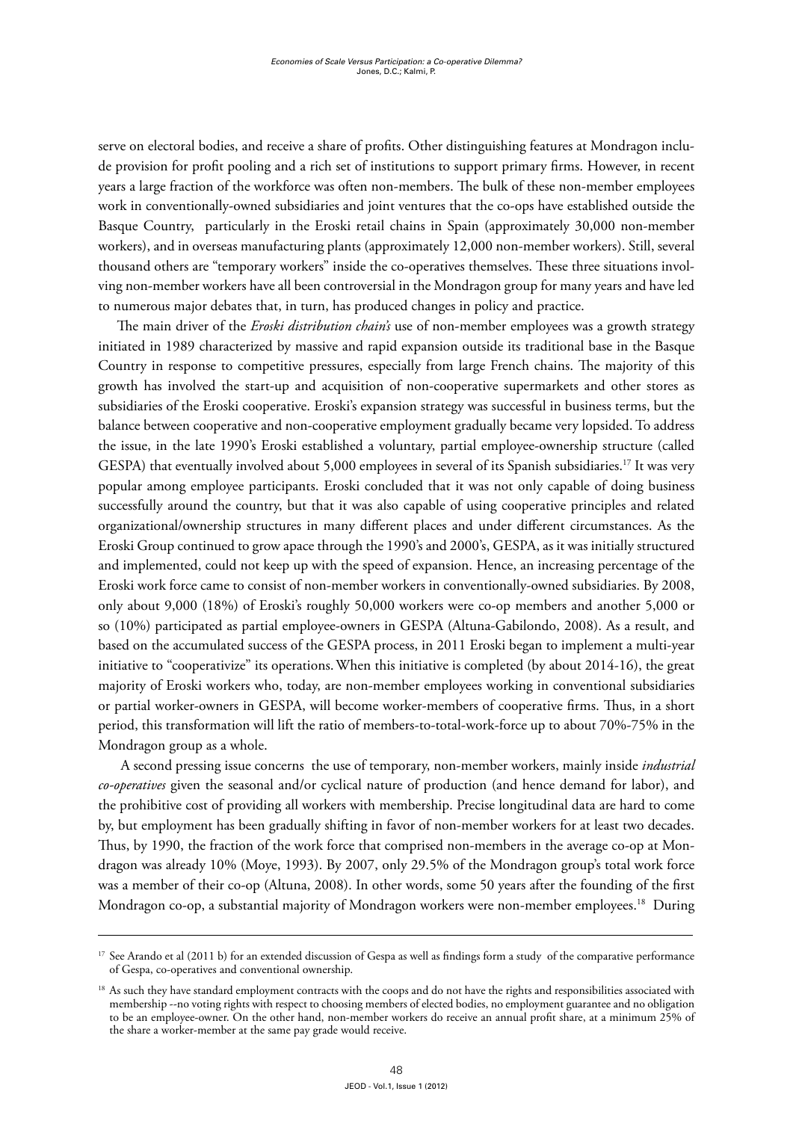serve on electoral bodies, and receive a share of profits. Other distinguishing features at Mondragon include provision for profit pooling and a rich set of institutions to support primary firms. However, in recent years a large fraction of the workforce was often non-members. The bulk of these non-member employees work in conventionally-owned subsidiaries and joint ventures that the co-ops have established outside the Basque Country, particularly in the Eroski retail chains in Spain (approximately 30,000 non-member workers), and in overseas manufacturing plants (approximately 12,000 non-member workers). Still, several thousand others are "temporary workers" inside the co-operatives themselves. These three situations involving non-member workers have all been controversial in the Mondragon group for many years and have led to numerous major debates that, in turn, has produced changes in policy and practice.

The main driver of the *Eroski distribution chain's* use of non-member employees was a growth strategy initiated in 1989 characterized by massive and rapid expansion outside its traditional base in the Basque Country in response to competitive pressures, especially from large French chains. The majority of this growth has involved the start-up and acquisition of non-cooperative supermarkets and other stores as subsidiaries of the Eroski cooperative. Eroski's expansion strategy was successful in business terms, but the balance between cooperative and non-cooperative employment gradually became very lopsided. To address the issue, in the late 1990's Eroski established a voluntary, partial employee-ownership structure (called GESPA) that eventually involved about 5,000 employees in several of its Spanish subsidiaries.17 It was very popular among employee participants. Eroski concluded that it was not only capable of doing business successfully around the country, but that it was also capable of using cooperative principles and related organizational/ownership structures in many different places and under different circumstances. As the Eroski Group continued to grow apace through the 1990's and 2000's, GESPA, as it was initially structured and implemented, could not keep up with the speed of expansion. Hence, an increasing percentage of the Eroski work force came to consist of non-member workers in conventionally-owned subsidiaries. By 2008, only about 9,000 (18%) of Eroski's roughly 50,000 workers were co-op members and another 5,000 or so (10%) participated as partial employee-owners in GESPA (Altuna-Gabilondo, 2008). As a result, and based on the accumulated success of the GESPA process, in 2011 Eroski began to implement a multi-year initiative to "cooperativize" its operations.When this initiative is completed (by about 2014-16), the great majority of Eroski workers who, today, are non-member employees working in conventional subsidiaries or partial worker-owners in GESPA, will become worker-members of cooperative firms. Thus, in a short period, this transformation will lift the ratio of members-to-total-work-force up to about 70%-75% in the Mondragon group as a whole.

A second pressing issue concerns the use of temporary, non-member workers, mainly inside *industrial co-operatives* given the seasonal and/or cyclical nature of production (and hence demand for labor), and the prohibitive cost of providing all workers with membership. Precise longitudinal data are hard to come by, but employment has been gradually shifting in favor of non-member workers for at least two decades. Thus, by 1990, the fraction of the work force that comprised non-members in the average co-op at Mondragon was already 10% (Moye, 1993). By 2007, only 29.5% of the Mondragon group's total work force was a member of their co-op (Altuna, 2008). In other words, some 50 years after the founding of the first Mondragon co-op, a substantial majority of Mondragon workers were non-member employees.<sup>18</sup> During

<sup>&</sup>lt;sup>17</sup> See Arando et al (2011 b) for an extended discussion of Gespa as well as findings form a study of the comparative performance of Gespa, co-operatives and conventional ownership.

<sup>&</sup>lt;sup>18</sup> As such they have standard employment contracts with the coops and do not have the rights and responsibilities associated with membership --no voting rights with respect to choosing members of elected bodies, no employment guarantee and no obligation to be an employee-owner. On the other hand, non-member workers do receive an annual profit share, at a minimum 25% of the share a worker-member at the same pay grade would receive.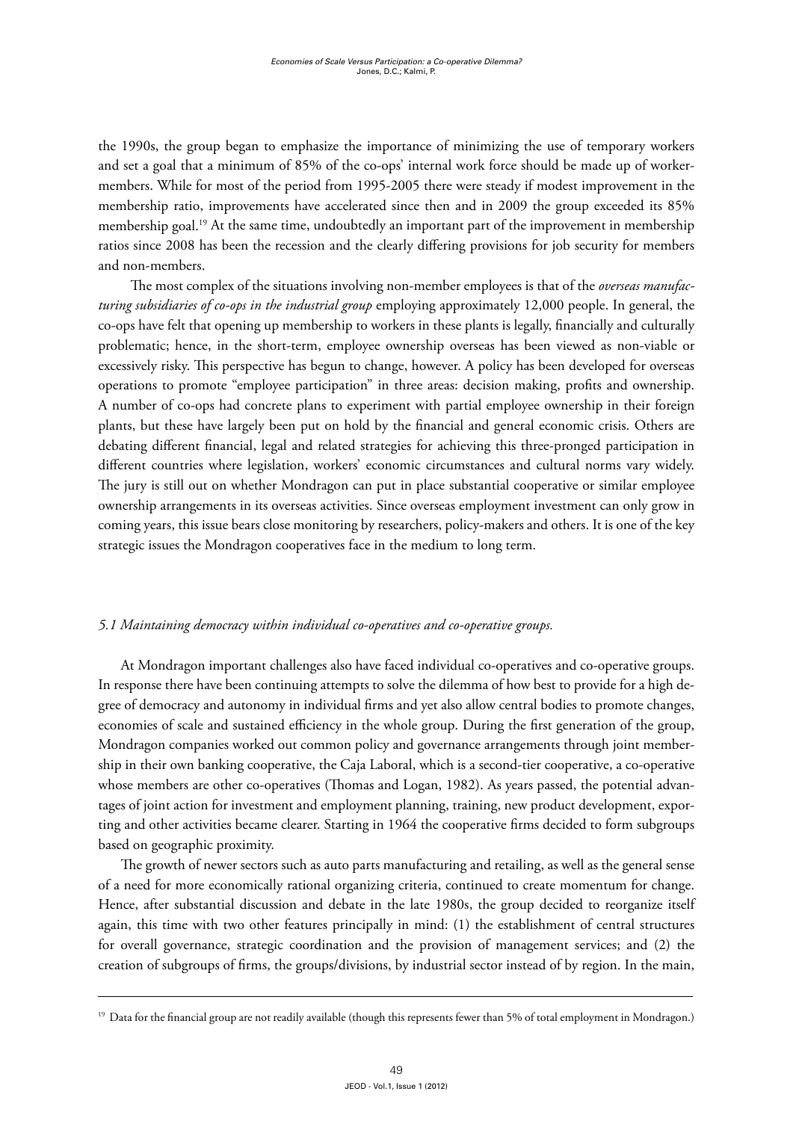the 1990s, the group began to emphasize the importance of minimizing the use of temporary workers and set a goal that a minimum of 85% of the co-ops' internal work force should be made up of workermembers. While for most of the period from 1995-2005 there were steady if modest improvement in the membership ratio, improvements have accelerated since then and in 2009 the group exceeded its 85% membership goal.<sup>19</sup> At the same time, undoubtedly an important part of the improvement in membership ratios since 2008 has been the recession and the clearly differing provisions for job security for members and non-members.

 The most complex of the situations involving non-member employees is that of the *overseas manufacturing subsidiaries of co-ops in the industrial group* employing approximately 12,000 people. In general, the co-ops have felt that opening up membership to workers in these plants is legally, financially and culturally problematic; hence, in the short-term, employee ownership overseas has been viewed as non-viable or excessively risky. This perspective has begun to change, however. A policy has been developed for overseas operations to promote "employee participation" in three areas: decision making, profits and ownership. A number of co-ops had concrete plans to experiment with partial employee ownership in their foreign plants, but these have largely been put on hold by the financial and general economic crisis. Others are debating different financial, legal and related strategies for achieving this three-pronged participation in different countries where legislation, workers' economic circumstances and cultural norms vary widely. The jury is still out on whether Mondragon can put in place substantial cooperative or similar employee ownership arrangements in its overseas activities. Since overseas employment investment can only grow in coming years, this issue bears close monitoring by researchers, policy-makers and others. It is one of the key strategic issues the Mondragon cooperatives face in the medium to long term.

# *5.1 Maintaining democracy within individual co-operatives and co-operative groups.*

At Mondragon important challenges also have faced individual co-operatives and co-operative groups. In response there have been continuing attempts to solve the dilemma of how best to provide for a high degree of democracy and autonomy in individual firms and yet also allow central bodies to promote changes, economies of scale and sustained efficiency in the whole group. During the first generation of the group, Mondragon companies worked out common policy and governance arrangements through joint membership in their own banking cooperative, the Caja Laboral, which is a second-tier cooperative, a co-operative whose members are other co-operatives (Thomas and Logan, 1982). As years passed, the potential advantages of joint action for investment and employment planning, training, new product development, exporting and other activities became clearer. Starting in 1964 the cooperative firms decided to form subgroups based on geographic proximity.

The growth of newer sectors such as auto parts manufacturing and retailing, as well as the general sense of a need for more economically rational organizing criteria, continued to create momentum for change. Hence, after substantial discussion and debate in the late 1980s, the group decided to reorganize itself again, this time with two other features principally in mind: (1) the establishment of central structures for overall governance, strategic coordination and the provision of management services; and (2) the creation of subgroups of firms, the groups/divisions, by industrial sector instead of by region. In the main,

<sup>&</sup>lt;sup>19</sup> Data for the financial group are not readily available (though this represents fewer than 5% of total employment in Mondragon.)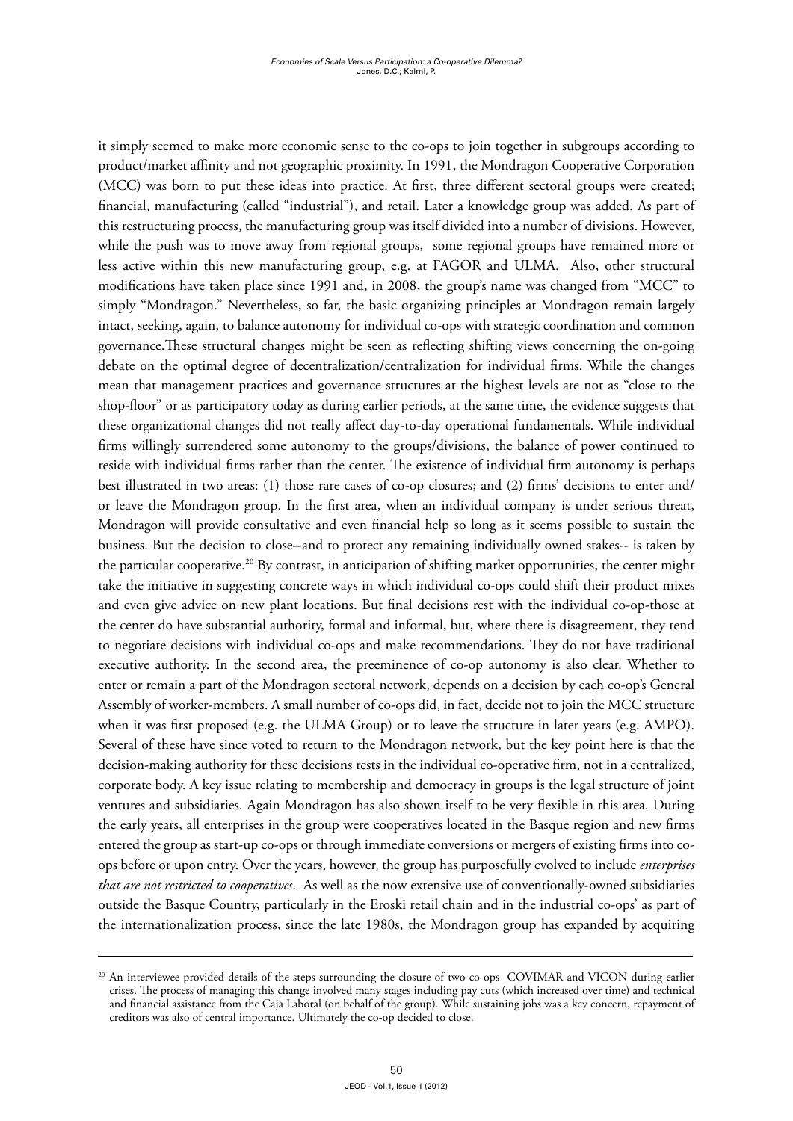it simply seemed to make more economic sense to the co-ops to join together in subgroups according to product/market affinity and not geographic proximity. In 1991, the Mondragon Cooperative Corporation (MCC) was born to put these ideas into practice. At first, three different sectoral groups were created; financial, manufacturing (called "industrial"), and retail. Later a knowledge group was added. As part of this restructuring process, the manufacturing group was itself divided into a number of divisions. However, while the push was to move away from regional groups, some regional groups have remained more or less active within this new manufacturing group, e.g. at FAGOR and ULMA. Also, other structural modifications have taken place since 1991 and, in 2008, the group's name was changed from "MCC" to simply "Mondragon." Nevertheless, so far, the basic organizing principles at Mondragon remain largely intact, seeking, again, to balance autonomy for individual co-ops with strategic coordination and common governance.These structural changes might be seen as reflecting shifting views concerning the on-going debate on the optimal degree of decentralization/centralization for individual firms. While the changes mean that management practices and governance structures at the highest levels are not as "close to the shop-floor" or as participatory today as during earlier periods, at the same time, the evidence suggests that these organizational changes did not really affect day-to-day operational fundamentals. While individual firms willingly surrendered some autonomy to the groups/divisions, the balance of power continued to reside with individual firms rather than the center. The existence of individual firm autonomy is perhaps best illustrated in two areas: (1) those rare cases of co-op closures; and (2) firms' decisions to enter and/ or leave the Mondragon group. In the first area, when an individual company is under serious threat, Mondragon will provide consultative and even financial help so long as it seems possible to sustain the business. But the decision to close--and to protect any remaining individually owned stakes-- is taken by the particular cooperative.20 By contrast, in anticipation of shifting market opportunities, the center might take the initiative in suggesting concrete ways in which individual co-ops could shift their product mixes and even give advice on new plant locations. But final decisions rest with the individual co-op-those at the center do have substantial authority, formal and informal, but, where there is disagreement, they tend to negotiate decisions with individual co-ops and make recommendations. They do not have traditional executive authority. In the second area, the preeminence of co-op autonomy is also clear. Whether to enter or remain a part of the Mondragon sectoral network, depends on a decision by each co-op's General Assembly of worker-members. A small number of co-ops did, in fact, decide not to join the MCC structure when it was first proposed (e.g. the ULMA Group) or to leave the structure in later years (e.g. AMPO). Several of these have since voted to return to the Mondragon network, but the key point here is that the decision-making authority for these decisions rests in the individual co-operative firm, not in a centralized, corporate body. A key issue relating to membership and democracy in groups is the legal structure of joint ventures and subsidiaries. Again Mondragon has also shown itself to be very flexible in this area. During the early years, all enterprises in the group were cooperatives located in the Basque region and new firms entered the group as start-up co-ops or through immediate conversions or mergers of existing firms into coops before or upon entry. Over the years, however, the group has purposefully evolved to include *enterprises that are not restricted to cooperatives*. As well as the now extensive use of conventionally-owned subsidiaries outside the Basque Country, particularly in the Eroski retail chain and in the industrial co-ops' as part of the internationalization process, since the late 1980s, the Mondragon group has expanded by acquiring

<sup>&</sup>lt;sup>20</sup> An interviewee provided details of the steps surrounding the closure of two co-ops COVIMAR and VICON during earlier crises. The process of managing this change involved many stages including pay cuts (which increased over time) and technical and financial assistance from the Caja Laboral (on behalf of the group). While sustaining jobs was a key concern, repayment of creditors was also of central importance. Ultimately the co-op decided to close.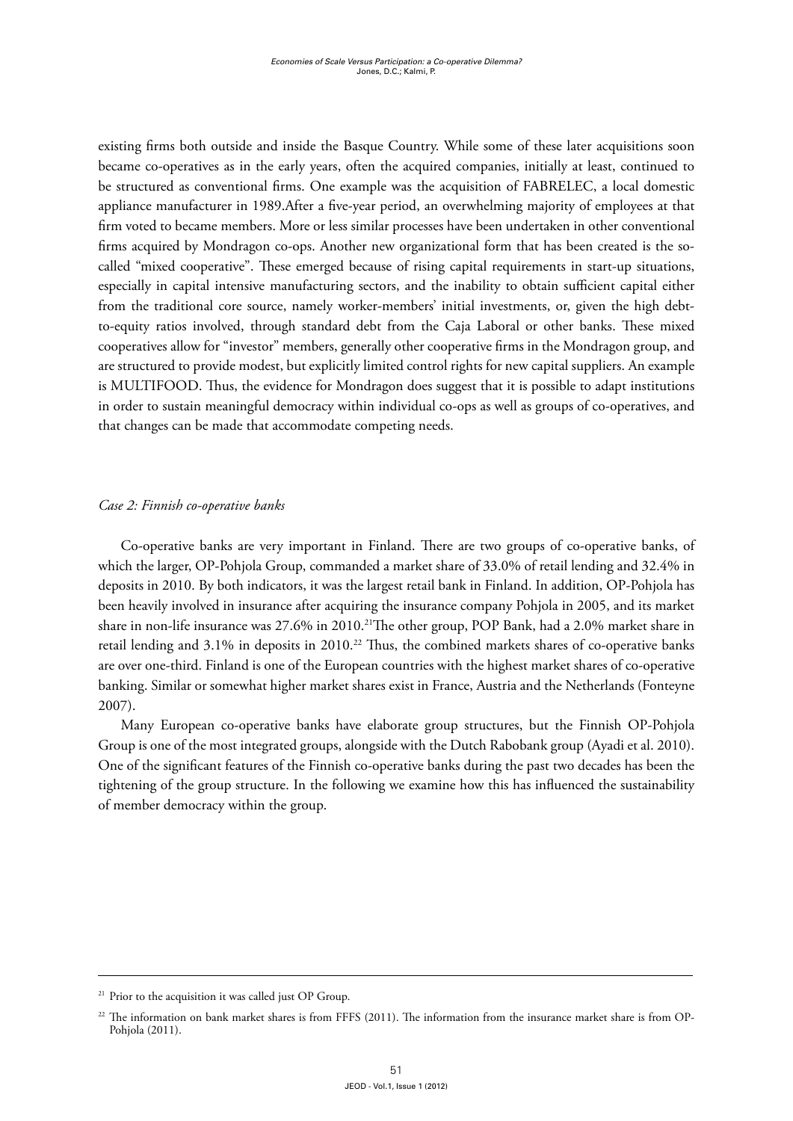existing firms both outside and inside the Basque Country. While some of these later acquisitions soon became co-operatives as in the early years, often the acquired companies, initially at least, continued to be structured as conventional firms. One example was the acquisition of FABRELEC, a local domestic appliance manufacturer in 1989.After a five-year period, an overwhelming majority of employees at that firm voted to became members. More or less similar processes have been undertaken in other conventional firms acquired by Mondragon co-ops. Another new organizational form that has been created is the socalled "mixed cooperative". These emerged because of rising capital requirements in start-up situations, especially in capital intensive manufacturing sectors, and the inability to obtain sufficient capital either from the traditional core source, namely worker-members' initial investments, or, given the high debtto-equity ratios involved, through standard debt from the Caja Laboral or other banks. These mixed cooperatives allow for "investor" members, generally other cooperative firms in the Mondragon group, and are structured to provide modest, but explicitly limited control rights for new capital suppliers. An example is MULTIFOOD. Thus, the evidence for Mondragon does suggest that it is possible to adapt institutions in order to sustain meaningful democracy within individual co-ops as well as groups of co-operatives, and that changes can be made that accommodate competing needs.

### *Case 2: Finnish co-operative banks*

Co-operative banks are very important in Finland. There are two groups of co-operative banks, of which the larger, OP-Pohjola Group, commanded a market share of 33.0% of retail lending and 32.4% in deposits in 2010. By both indicators, it was the largest retail bank in Finland. In addition, OP-Pohjola has been heavily involved in insurance after acquiring the insurance company Pohjola in 2005, and its market share in non-life insurance was 27.6% in 2010.<sup>21</sup>The other group, POP Bank, had a 2.0% market share in retail lending and 3.1% in deposits in 2010.<sup>22</sup> Thus, the combined markets shares of co-operative banks are over one-third. Finland is one of the European countries with the highest market shares of co-operative banking. Similar or somewhat higher market shares exist in France, Austria and the Netherlands (Fonteyne 2007).

Many European co-operative banks have elaborate group structures, but the Finnish OP-Pohjola Group is one of the most integrated groups, alongside with the Dutch Rabobank group (Ayadi et al. 2010). One of the significant features of the Finnish co-operative banks during the past two decades has been the tightening of the group structure. In the following we examine how this has influenced the sustainability of member democracy within the group.

<sup>&</sup>lt;sup>21</sup> Prior to the acquisition it was called just OP Group.

 $22$  The information on bank market shares is from FFFS (2011). The information from the insurance market share is from OP-Pohjola (2011).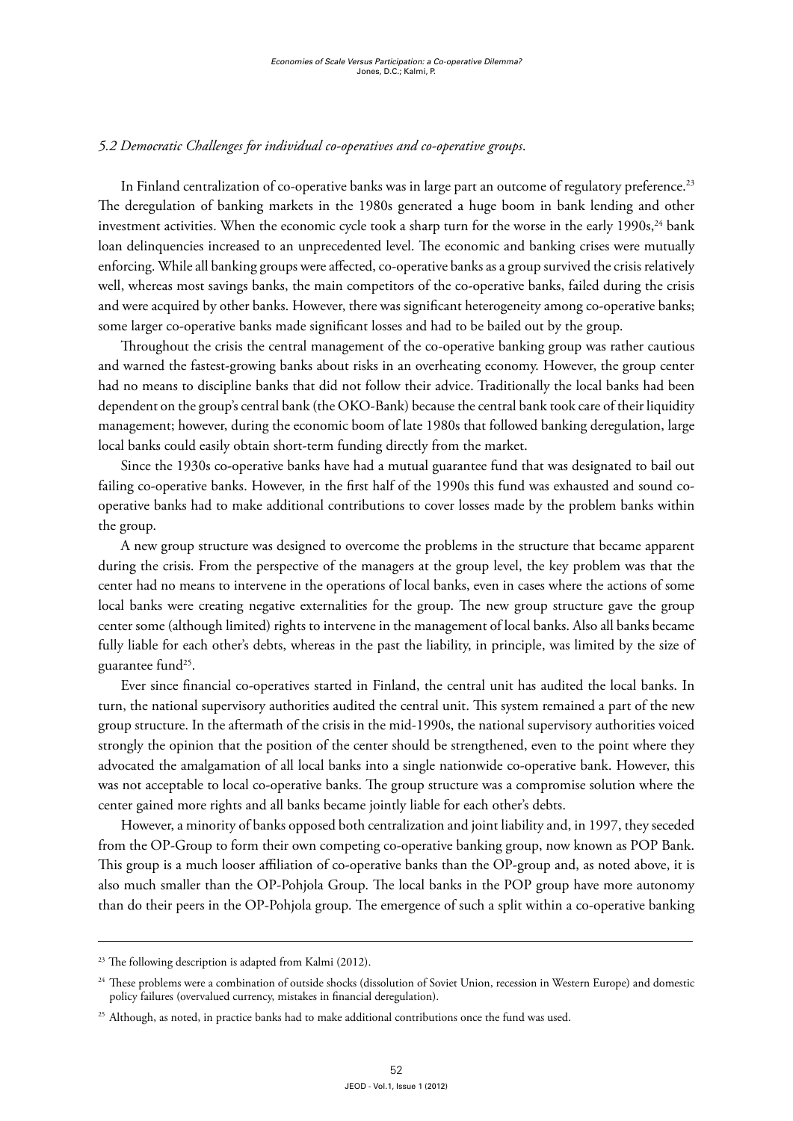## *5.2 Democratic Challenges for individual co-operatives and co-operative groups*.

In Finland centralization of co-operative banks was in large part an outcome of regulatory preference.<sup>23</sup> The deregulation of banking markets in the 1980s generated a huge boom in bank lending and other investment activities. When the economic cycle took a sharp turn for the worse in the early 1990s, $^{24}$  bank loan delinquencies increased to an unprecedented level. The economic and banking crises were mutually enforcing. While all banking groups were affected, co-operative banks as a group survived the crisis relatively well, whereas most savings banks, the main competitors of the co-operative banks, failed during the crisis and were acquired by other banks. However, there was significant heterogeneity among co-operative banks; some larger co-operative banks made significant losses and had to be bailed out by the group.

Throughout the crisis the central management of the co-operative banking group was rather cautious and warned the fastest-growing banks about risks in an overheating economy. However, the group center had no means to discipline banks that did not follow their advice. Traditionally the local banks had been dependent on the group's central bank (the OKO-Bank) because the central bank took care of their liquidity management; however, during the economic boom of late 1980s that followed banking deregulation, large local banks could easily obtain short-term funding directly from the market.

Since the 1930s co-operative banks have had a mutual guarantee fund that was designated to bail out failing co-operative banks. However, in the first half of the 1990s this fund was exhausted and sound cooperative banks had to make additional contributions to cover losses made by the problem banks within the group.

A new group structure was designed to overcome the problems in the structure that became apparent during the crisis. From the perspective of the managers at the group level, the key problem was that the center had no means to intervene in the operations of local banks, even in cases where the actions of some local banks were creating negative externalities for the group. The new group structure gave the group center some (although limited) rights to intervene in the management of local banks. Also all banks became fully liable for each other's debts, whereas in the past the liability, in principle, was limited by the size of guarantee fund<sup>25</sup>.

Ever since financial co-operatives started in Finland, the central unit has audited the local banks. In turn, the national supervisory authorities audited the central unit. This system remained a part of the new group structure. In the aftermath of the crisis in the mid-1990s, the national supervisory authorities voiced strongly the opinion that the position of the center should be strengthened, even to the point where they advocated the amalgamation of all local banks into a single nationwide co-operative bank. However, this was not acceptable to local co-operative banks. The group structure was a compromise solution where the center gained more rights and all banks became jointly liable for each other's debts.

However, a minority of banks opposed both centralization and joint liability and, in 1997, they seceded from the OP-Group to form their own competing co-operative banking group, now known as POP Bank. This group is a much looser affiliation of co-operative banks than the OP-group and, as noted above, it is also much smaller than the OP-Pohjola Group. The local banks in the POP group have more autonomy than do their peers in the OP-Pohjola group. The emergence of such a split within a co-operative banking

<sup>&</sup>lt;sup>23</sup> The following description is adapted from Kalmi (2012).

<sup>&</sup>lt;sup>24</sup> These problems were a combination of outside shocks (dissolution of Soviet Union, recession in Western Europe) and domestic policy failures (overvalued currency, mistakes in financial deregulation).

<sup>&</sup>lt;sup>25</sup> Although, as noted, in practice banks had to make additional contributions once the fund was used.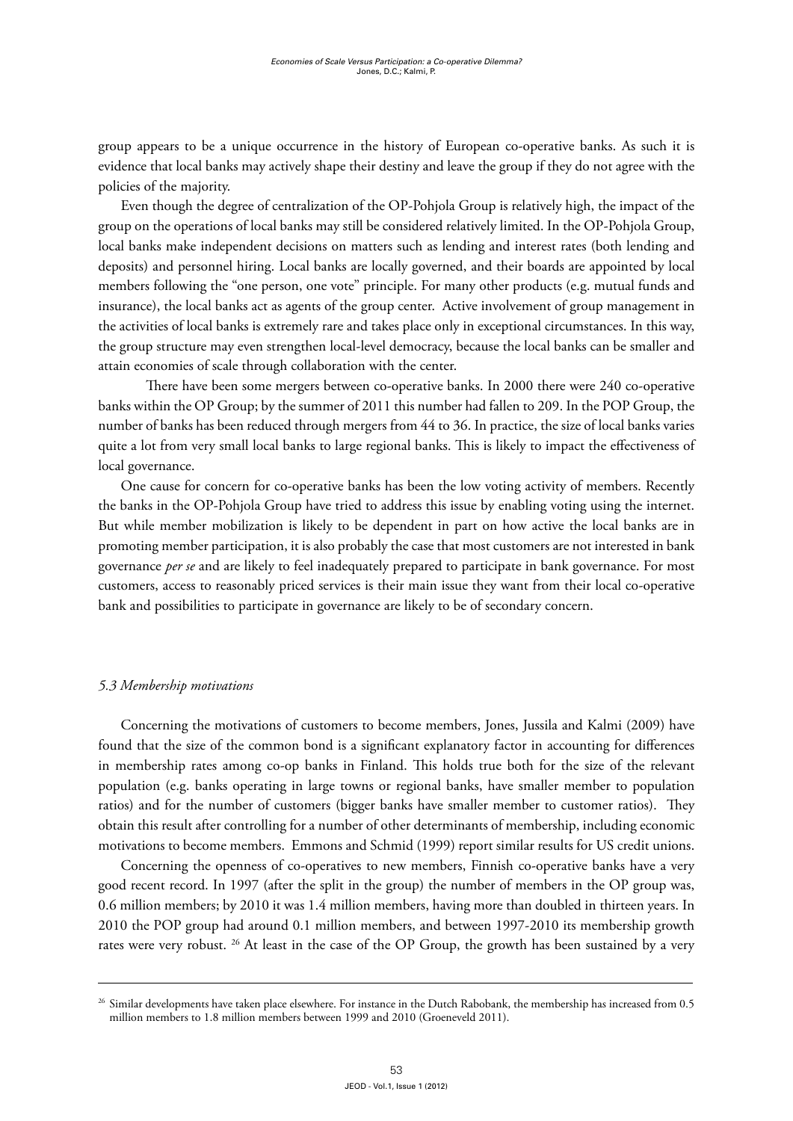group appears to be a unique occurrence in the history of European co-operative banks. As such it is evidence that local banks may actively shape their destiny and leave the group if they do not agree with the policies of the majority.

Even though the degree of centralization of the OP-Pohjola Group is relatively high, the impact of the group on the operations of local banks may still be considered relatively limited. In the OP-Pohjola Group, local banks make independent decisions on matters such as lending and interest rates (both lending and deposits) and personnel hiring. Local banks are locally governed, and their boards are appointed by local members following the "one person, one vote" principle. For many other products (e.g. mutual funds and insurance), the local banks act as agents of the group center. Active involvement of group management in the activities of local banks is extremely rare and takes place only in exceptional circumstances. In this way, the group structure may even strengthen local-level democracy, because the local banks can be smaller and attain economies of scale through collaboration with the center.

There have been some mergers between co-operative banks. In 2000 there were 240 co-operative banks within the OP Group; by the summer of 2011 this number had fallen to 209. In the POP Group, the number of banks has been reduced through mergers from 44 to 36. In practice, the size of local banks varies quite a lot from very small local banks to large regional banks. This is likely to impact the effectiveness of local governance.

One cause for concern for co-operative banks has been the low voting activity of members. Recently the banks in the OP-Pohjola Group have tried to address this issue by enabling voting using the internet. But while member mobilization is likely to be dependent in part on how active the local banks are in promoting member participation, it is also probably the case that most customers are not interested in bank governance *per se* and are likely to feel inadequately prepared to participate in bank governance. For most customers, access to reasonably priced services is their main issue they want from their local co-operative bank and possibilities to participate in governance are likely to be of secondary concern.

# *5.3 Membership motivations*

Concerning the motivations of customers to become members, Jones, Jussila and Kalmi (2009) have found that the size of the common bond is a significant explanatory factor in accounting for differences in membership rates among co-op banks in Finland. This holds true both for the size of the relevant population (e.g. banks operating in large towns or regional banks, have smaller member to population ratios) and for the number of customers (bigger banks have smaller member to customer ratios). They obtain this result after controlling for a number of other determinants of membership, including economic motivations to become members. Emmons and Schmid (1999) report similar results for US credit unions.

Concerning the openness of co-operatives to new members, Finnish co-operative banks have a very good recent record. In 1997 (after the split in the group) the number of members in the OP group was, 0.6 million members; by 2010 it was 1.4 million members, having more than doubled in thirteen years. In 2010 the POP group had around 0.1 million members, and between 1997-2010 its membership growth rates were very robust. <sup>26</sup> At least in the case of the OP Group, the growth has been sustained by a very

<sup>&</sup>lt;sup>26</sup> Similar developments have taken place elsewhere. For instance in the Dutch Rabobank, the membership has increased from 0.5 million members to 1.8 million members between 1999 and 2010 (Groeneveld 2011).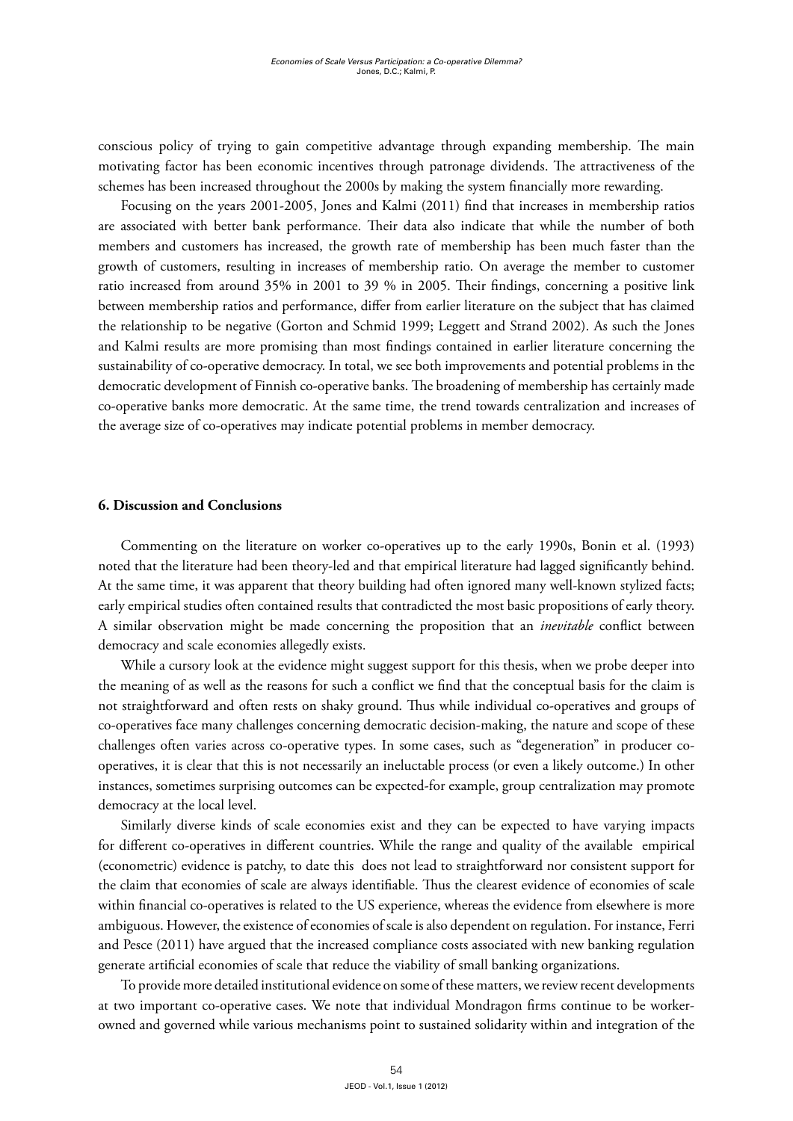conscious policy of trying to gain competitive advantage through expanding membership. The main motivating factor has been economic incentives through patronage dividends. The attractiveness of the schemes has been increased throughout the 2000s by making the system financially more rewarding.

Focusing on the years 2001-2005, Jones and Kalmi (2011) find that increases in membership ratios are associated with better bank performance. Their data also indicate that while the number of both members and customers has increased, the growth rate of membership has been much faster than the growth of customers, resulting in increases of membership ratio. On average the member to customer ratio increased from around 35% in 2001 to 39 % in 2005. Their findings, concerning a positive link between membership ratios and performance, differ from earlier literature on the subject that has claimed the relationship to be negative (Gorton and Schmid 1999; Leggett and Strand 2002). As such the Jones and Kalmi results are more promising than most findings contained in earlier literature concerning the sustainability of co-operative democracy. In total, we see both improvements and potential problems in the democratic development of Finnish co-operative banks. The broadening of membership has certainly made co-operative banks more democratic. At the same time, the trend towards centralization and increases of the average size of co-operatives may indicate potential problems in member democracy.

#### **6. Discussion and Conclusions**

Commenting on the literature on worker co-operatives up to the early 1990s, Bonin et al. (1993) noted that the literature had been theory-led and that empirical literature had lagged significantly behind. At the same time, it was apparent that theory building had often ignored many well-known stylized facts; early empirical studies often contained results that contradicted the most basic propositions of early theory. A similar observation might be made concerning the proposition that an *inevitable* conflict between democracy and scale economies allegedly exists.

While a cursory look at the evidence might suggest support for this thesis, when we probe deeper into the meaning of as well as the reasons for such a conflict we find that the conceptual basis for the claim is not straightforward and often rests on shaky ground. Thus while individual co-operatives and groups of co-operatives face many challenges concerning democratic decision-making, the nature and scope of these challenges often varies across co-operative types. In some cases, such as "degeneration" in producer cooperatives, it is clear that this is not necessarily an ineluctable process (or even a likely outcome.) In other instances, sometimes surprising outcomes can be expected-for example, group centralization may promote democracy at the local level.

Similarly diverse kinds of scale economies exist and they can be expected to have varying impacts for different co-operatives in different countries. While the range and quality of the available empirical (econometric) evidence is patchy, to date this does not lead to straightforward nor consistent support for the claim that economies of scale are always identifiable. Thus the clearest evidence of economies of scale within financial co-operatives is related to the US experience, whereas the evidence from elsewhere is more ambiguous. However, the existence of economies of scale is also dependent on regulation. For instance, Ferri and Pesce (2011) have argued that the increased compliance costs associated with new banking regulation generate artificial economies of scale that reduce the viability of small banking organizations.

To provide more detailed institutional evidence on some of these matters, we review recent developments at two important co-operative cases. We note that individual Mondragon firms continue to be workerowned and governed while various mechanisms point to sustained solidarity within and integration of the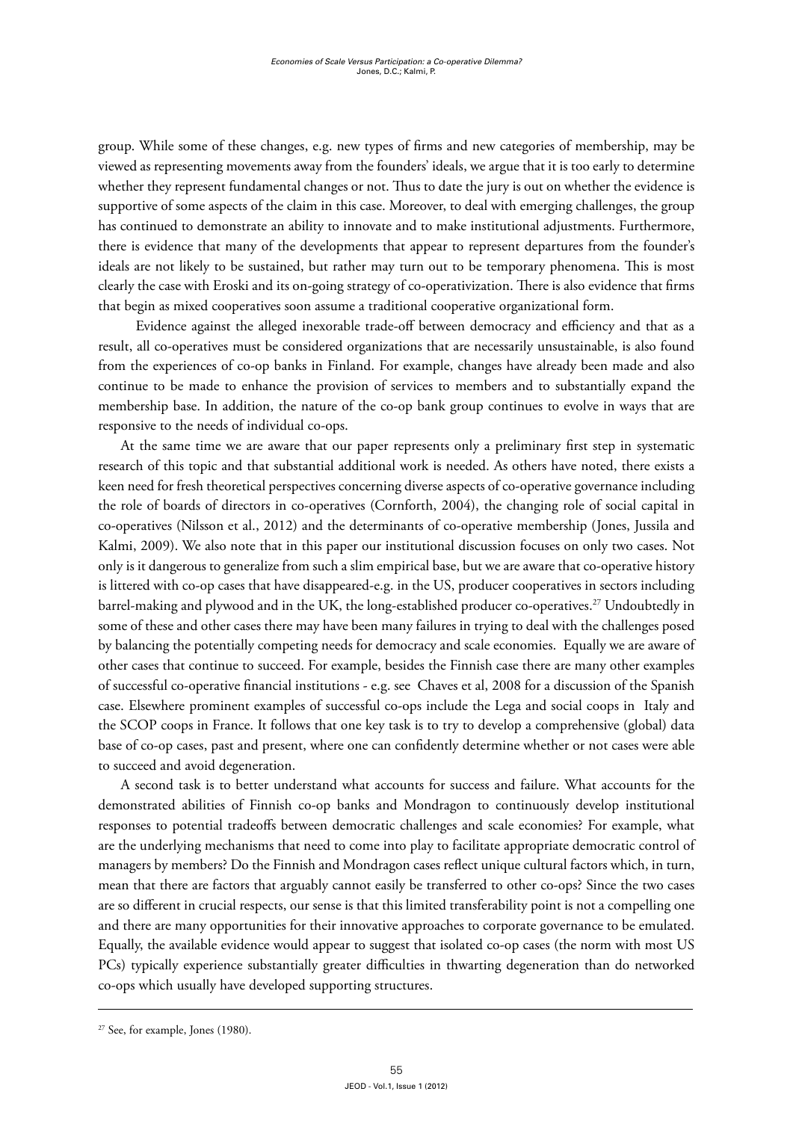group. While some of these changes, e.g. new types of firms and new categories of membership, may be viewed as representing movements away from the founders' ideals, we argue that it is too early to determine whether they represent fundamental changes or not. Thus to date the jury is out on whether the evidence is supportive of some aspects of the claim in this case. Moreover, to deal with emerging challenges, the group has continued to demonstrate an ability to innovate and to make institutional adjustments. Furthermore, there is evidence that many of the developments that appear to represent departures from the founder's ideals are not likely to be sustained, but rather may turn out to be temporary phenomena. This is most clearly the case with Eroski and its on-going strategy of co-operativization. There is also evidence that firms that begin as mixed cooperatives soon assume a traditional cooperative organizational form.

 Evidence against the alleged inexorable trade-off between democracy and efficiency and that as a result, all co-operatives must be considered organizations that are necessarily unsustainable, is also found from the experiences of co-op banks in Finland. For example, changes have already been made and also continue to be made to enhance the provision of services to members and to substantially expand the membership base. In addition, the nature of the co-op bank group continues to evolve in ways that are responsive to the needs of individual co-ops.

At the same time we are aware that our paper represents only a preliminary first step in systematic research of this topic and that substantial additional work is needed. As others have noted, there exists a keen need for fresh theoretical perspectives concerning diverse aspects of co-operative governance including the role of boards of directors in co-operatives (Cornforth, 2004), the changing role of social capital in co-operatives (Nilsson et al., 2012) and the determinants of co-operative membership (Jones, Jussila and Kalmi, 2009). We also note that in this paper our institutional discussion focuses on only two cases. Not only is it dangerous to generalize from such a slim empirical base, but we are aware that co-operative history is littered with co-op cases that have disappeared-e.g. in the US, producer cooperatives in sectors including barrel-making and plywood and in the UK, the long-established producer co-operatives.27 Undoubtedly in some of these and other cases there may have been many failures in trying to deal with the challenges posed by balancing the potentially competing needs for democracy and scale economies. Equally we are aware of other cases that continue to succeed. For example, besides the Finnish case there are many other examples of successful co-operative financial institutions - e.g. see Chaves et al, 2008 for a discussion of the Spanish case. Elsewhere prominent examples of successful co-ops include the Lega and social coops in Italy and the SCOP coops in France. It follows that one key task is to try to develop a comprehensive (global) data base of co-op cases, past and present, where one can confidently determine whether or not cases were able to succeed and avoid degeneration.

A second task is to better understand what accounts for success and failure. What accounts for the demonstrated abilities of Finnish co-op banks and Mondragon to continuously develop institutional responses to potential tradeoffs between democratic challenges and scale economies? For example, what are the underlying mechanisms that need to come into play to facilitate appropriate democratic control of managers by members? Do the Finnish and Mondragon cases reflect unique cultural factors which, in turn, mean that there are factors that arguably cannot easily be transferred to other co-ops? Since the two cases are so different in crucial respects, our sense is that this limited transferability point is not a compelling one and there are many opportunities for their innovative approaches to corporate governance to be emulated. Equally, the available evidence would appear to suggest that isolated co-op cases (the norm with most US PCs) typically experience substantially greater difficulties in thwarting degeneration than do networked co-ops which usually have developed supporting structures.

<sup>&</sup>lt;sup>27</sup> See, for example, Jones (1980).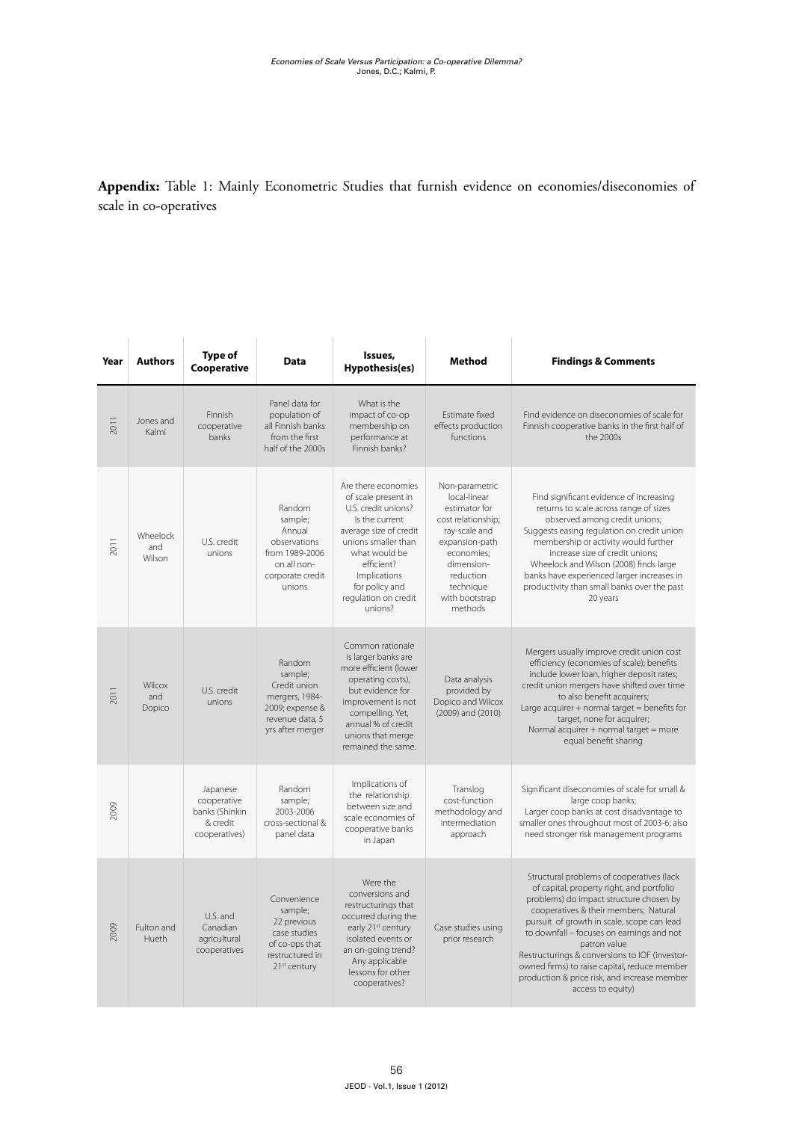Appendix: Table 1: Mainly Econometric Studies that furnish evidence on economies/diseconomies of scale in co-operatives

| Year | <b>Authors</b>            | Type of<br>Cooperative                                                 | <b>Data</b>                                                                                                            | Issues,<br>Hypothesis(es)                                                                                                                                                                                                                | <b>Method</b>                                                                                                                                                                               | <b>Findings &amp; Comments</b>                                                                                                                                                                                                                                                                                                                                                                                                                               |
|------|---------------------------|------------------------------------------------------------------------|------------------------------------------------------------------------------------------------------------------------|------------------------------------------------------------------------------------------------------------------------------------------------------------------------------------------------------------------------------------------|---------------------------------------------------------------------------------------------------------------------------------------------------------------------------------------------|--------------------------------------------------------------------------------------------------------------------------------------------------------------------------------------------------------------------------------------------------------------------------------------------------------------------------------------------------------------------------------------------------------------------------------------------------------------|
| 2011 | Jones and<br>Kalmi        | Finnish<br>cooperative<br>banks                                        | Panel data for<br>population of<br>all Finnish banks<br>from the first<br>half of the 2000s                            | What is the<br>impact of co-op<br>membership on<br>performance at<br>Finnish banks?                                                                                                                                                      | Estimate fixed<br>effects production<br>functions                                                                                                                                           | Find evidence on diseconomies of scale for<br>Finnish cooperative banks in the first half of<br>the 2000s                                                                                                                                                                                                                                                                                                                                                    |
| 2011 | Wheelock<br>and<br>Wilson | U.S. credit<br>unions                                                  | Random<br>sample;<br>Annual<br>observations<br>from 1989-2006<br>on all non-<br>corporate credit<br>unions             | Are there economies<br>of scale present in<br>U.S. credit unions?<br>Is the current<br>average size of credit<br>unions smaller than<br>what would be<br>efficient?<br>Implications<br>for policy and<br>regulation on credit<br>unions? | Non-parametric<br>local-linear<br>estimator for<br>cost relationship;<br>ray-scale and<br>expansion-path<br>economies;<br>dimension-<br>reduction<br>technique<br>with bootstrap<br>methods | Find significant evidence of increasing<br>returns to scale across range of sizes<br>observed among credit unions;<br>Suggests easing regulation on credit union<br>membership or activity would further<br>increase size of credit unions;<br>Wheelock and Wilson (2008) finds large<br>banks have experienced larger increases in<br>productivity than small banks over the past<br>20 years                                                               |
| 2011 | Wilcox<br>and<br>Dopico   | U.S. credit<br>unions                                                  | Random<br>sample;<br>Credit union<br>mergers, 1984-<br>2009; expense &<br>revenue data, 5<br>yrs after merger          | Common rationale<br>is larger banks are<br>more efficient (lower<br>operating costs),<br>but evidence for<br>improvement is not<br>compelling. Yet,<br>annual % of credit<br>unions that merge<br>remained the same.                     | Data analysis<br>provided by<br>Dopico and Wilcox<br>(2009) and (2010)                                                                                                                      | Mergers usually improve credit union cost<br>efficiency (economies of scale); benefits<br>include lower loan, higher deposit rates;<br>credit union mergers have shifted over time<br>to also benefit acquirers;<br>Large acquirer + normal target = benefits for<br>target, none for acquirer;<br>Normal acquirer + normal target = more<br>equal benefit sharing                                                                                           |
| 2009 |                           | Japanese<br>cooperative<br>banks (Shinkin<br>& credit<br>cooperatives) | Random<br>sample;<br>2003-2006<br>cross-sectional &<br>panel data                                                      | Implications of<br>the relationship<br>between size and<br>scale economies of<br>cooperative banks<br>in Japan                                                                                                                           | Translog<br>cost-function<br>methodology and<br>intermediation<br>approach                                                                                                                  | Significant diseconomies of scale for small &<br>large coop banks;<br>Larger coop banks at cost disadvantage to<br>smaller ones throughout most of 2003-6; also<br>need stronger risk management programs                                                                                                                                                                                                                                                    |
| 2009 | Fulton and<br>Hueth       | U.S. and<br>Canadian<br>agricultural<br>cooperatives                   | Convenience<br>sample;<br>22 previous<br>case studies<br>of co-ops that<br>restructured in<br>21 <sup>st</sup> century | Were the<br>conversions and<br>restructurings that<br>occurred during the<br>early 21 <sup>st</sup> century<br>isolated events or<br>an on-going trend?<br>Any applicable<br>lessons for other<br>cooperatives?                          | Case studies using<br>prior research                                                                                                                                                        | Structural problems of cooperatives (lack<br>of capital, property right, and portfolio<br>problems) do impact structure chosen by<br>cooperatives & their members; Natural<br>pursuit of growth in scale, scope can lead<br>to downfall - focuses on earnings and not<br>patron value<br>Restructurings & conversions to IOF (investor-<br>owned firms) to raise capital, reduce member<br>production & price risk, and increase member<br>access to equity) |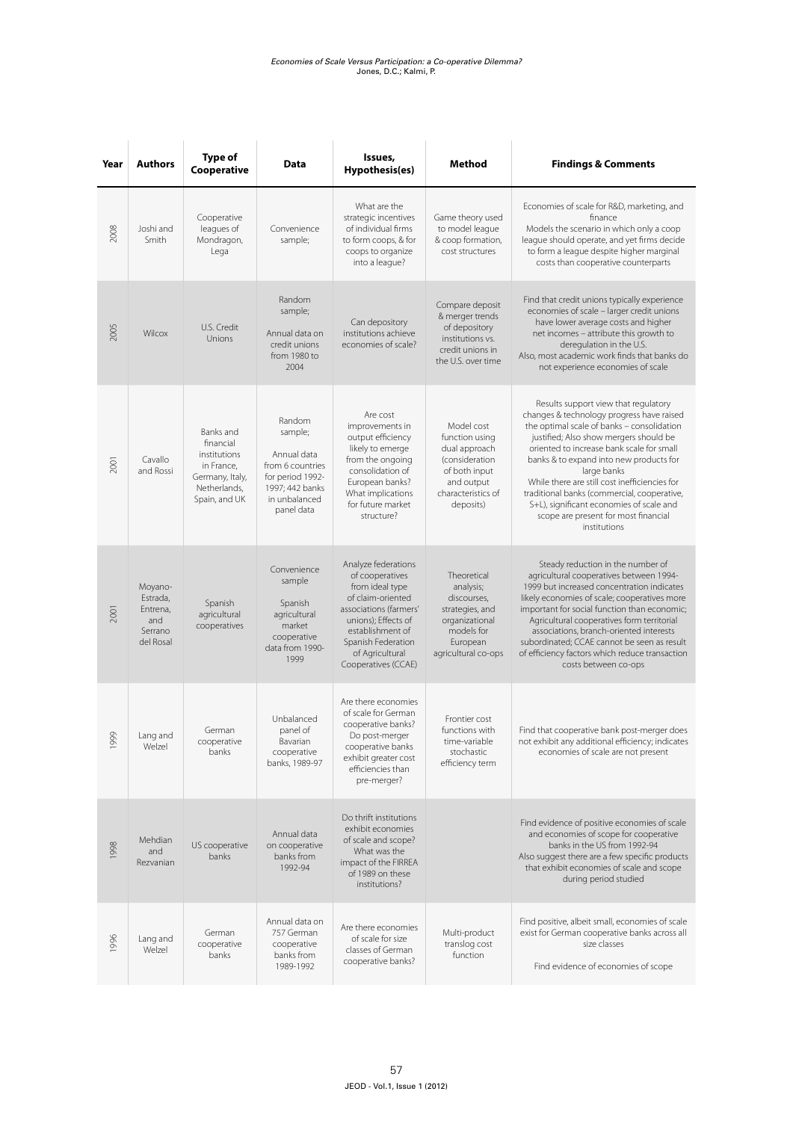| Year                 | <b>Authors</b>                                                 | <b>Type of</b><br>Cooperative                                                                            | Data                                                                                                                       | Issues,<br>Hypothesis(es)                                                                                                                                                                                           | Method                                                                                                                            | <b>Findings &amp; Comments</b>                                                                                                                                                                                                                                                                                                                                                                                                                                                       |
|----------------------|----------------------------------------------------------------|----------------------------------------------------------------------------------------------------------|----------------------------------------------------------------------------------------------------------------------------|---------------------------------------------------------------------------------------------------------------------------------------------------------------------------------------------------------------------|-----------------------------------------------------------------------------------------------------------------------------------|--------------------------------------------------------------------------------------------------------------------------------------------------------------------------------------------------------------------------------------------------------------------------------------------------------------------------------------------------------------------------------------------------------------------------------------------------------------------------------------|
| 2008                 | Joshi and<br>Smith                                             | Cooperative<br>leagues of<br>Mondragon,<br>Lega                                                          | Convenience<br>sample;                                                                                                     | What are the<br>strategic incentives<br>of individual firms<br>to form coops, & for<br>coops to organize<br>into a league?                                                                                          | Game theory used<br>to model league<br>& coop formation,<br>cost structures                                                       | Economies of scale for R&D, marketing, and<br>finance<br>Models the scenario in which only a coop<br>league should operate, and yet firms decide<br>to form a league despite higher marginal<br>costs than cooperative counterparts                                                                                                                                                                                                                                                  |
| 2005                 | Wilcox                                                         | U.S. Credit<br>Unions                                                                                    | Random<br>sample;<br>Annual data on<br>credit unions<br>from 1980 to<br>2004                                               | Can depository<br>institutions achieve<br>economies of scale?                                                                                                                                                       | Compare deposit<br>& merger trends<br>of depository<br>institutions vs.<br>credit unions in<br>the U.S. over time                 | Find that credit unions typically experience<br>economies of scale - larger credit unions<br>have lower average costs and higher<br>net incomes - attribute this growth to<br>deregulation in the U.S.<br>Also, most academic work finds that banks do<br>not experience economies of scale                                                                                                                                                                                          |
| 2001                 | Cavallo<br>and Rossi                                           | Banks and<br>financial<br>institutions<br>in France,<br>Germany, Italy,<br>Netherlands,<br>Spain, and UK | Random<br>sample;<br>Annual data<br>from 6 countries<br>for period 1992-<br>1997; 442 banks<br>in unbalanced<br>panel data | Are cost<br>improvements in<br>output efficiency<br>likely to emerge<br>from the ongoing<br>consolidation of<br>European banks?<br>What implications<br>for future market<br>structure?                             | Model cost<br>function using<br>dual approach<br>(consideration<br>of both input<br>and output<br>characteristics of<br>deposits) | Results support view that regulatory<br>changes & technology progress have raised<br>the optimal scale of banks - consolidation<br>justified; Also show mergers should be<br>oriented to increase bank scale for small<br>banks & to expand into new products for<br>large banks<br>While there are still cost inefficiencies for<br>traditional banks (commercial, cooperative,<br>S+L), significant economies of scale and<br>scope are present for most financial<br>institutions |
| 2001                 | Moyano-<br>Estrada,<br>Entrena,<br>and<br>Serrano<br>del Rosal | Spanish<br>agricultural<br>cooperatives                                                                  | Convenience<br>sample<br>Spanish<br>agricultural<br>market<br>cooperative<br>data from 1990-<br>1999                       | Analyze federations<br>of cooperatives<br>from ideal type<br>of claim-oriented<br>associations (farmers'<br>unions); Effects of<br>establishment of<br>Spanish Federation<br>of Agricultural<br>Cooperatives (CCAE) | Theoretical<br>analysis;<br>discourses,<br>strategies, and<br>organizational<br>models for<br>European<br>agricultural co-ops     | Steady reduction in the number of<br>agricultural cooperatives between 1994-<br>1999 but increased concentration indicates<br>likely economies of scale; cooperatives more<br>important for social function than economic;<br>Agricultural cooperatives form territorial<br>associations, branch-oriented interests<br>subordinated; CCAE cannot be seen as result<br>of efficiency factors which reduce transaction<br>costs between co-ops                                         |
| 99<br>$\overline{0}$ | Lang and<br>Welzel                                             | German<br>cooperative<br>banks                                                                           | Unbalanced<br>panel of<br>Bavarian<br>cooperative<br>banks, 1989-97                                                        | Are there economies<br>of scale for German<br>cooperative banks?<br>Do post-merger<br>cooperative banks<br>exhibit greater cost<br>efficiencies than<br>pre-merger?                                                 | Frontier cost<br>functions with<br>time-variable<br>stochastic<br>efficiency term                                                 | Find that cooperative bank post-merger does<br>not exhibit any additional efficiency; indicates<br>economies of scale are not present                                                                                                                                                                                                                                                                                                                                                |
| 1998                 | Mehdian<br>and<br>Rezvanian                                    | US cooperative<br>banks                                                                                  | Annual data<br>on cooperative<br>banks from<br>1992-94                                                                     | Do thrift institutions<br>exhibit economies<br>of scale and scope?<br>What was the<br>impact of the FIRREA<br>of 1989 on these<br>institutions?                                                                     |                                                                                                                                   | Find evidence of positive economies of scale<br>and economies of scope for cooperative<br>banks in the US from 1992-94<br>Also suggest there are a few specific products<br>that exhibit economies of scale and scope<br>during period studied                                                                                                                                                                                                                                       |
| 1996                 | Lang and<br>Welzel                                             | German<br>cooperative<br>banks                                                                           | Annual data on<br>757 German<br>cooperative<br>banks from<br>1989-1992                                                     | Are there economies<br>of scale for size<br>classes of German<br>cooperative banks?                                                                                                                                 | Multi-product<br>translog cost<br>function                                                                                        | Find positive, albeit small, economies of scale<br>exist for German cooperative banks across all<br>size classes<br>Find evidence of economies of scope                                                                                                                                                                                                                                                                                                                              |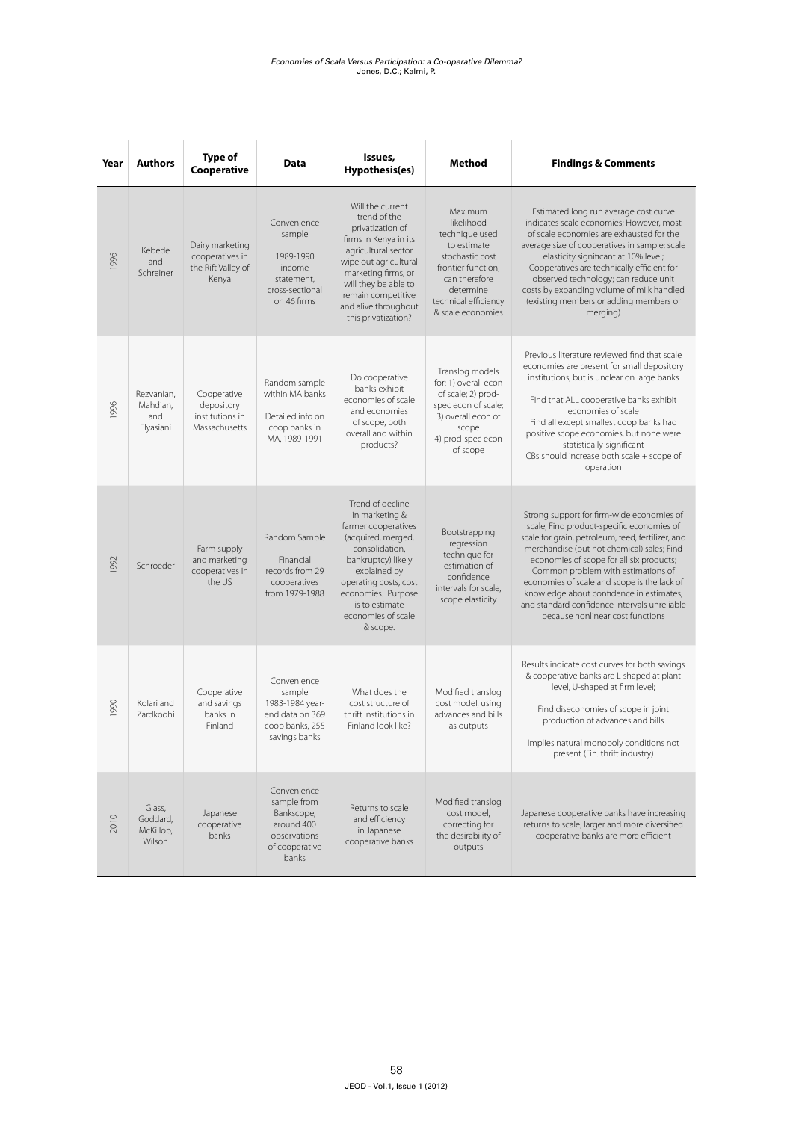| Year | <b>Authors</b>                             | <b>Type of</b><br>Cooperative                                     | Data                                                                                              | Issues,<br>Hypothesis(es)                                                                                                                                                                                                                         | Method                                                                                                                                                                     | <b>Findings &amp; Comments</b>                                                                                                                                                                                                                                                                                                                                                                                                                             |
|------|--------------------------------------------|-------------------------------------------------------------------|---------------------------------------------------------------------------------------------------|---------------------------------------------------------------------------------------------------------------------------------------------------------------------------------------------------------------------------------------------------|----------------------------------------------------------------------------------------------------------------------------------------------------------------------------|------------------------------------------------------------------------------------------------------------------------------------------------------------------------------------------------------------------------------------------------------------------------------------------------------------------------------------------------------------------------------------------------------------------------------------------------------------|
| 1996 | Kebede<br>and<br>Schreiner                 | Dairy marketing<br>cooperatives in<br>the Rift Valley of<br>Kenya | Convenience<br>sample<br>1989-1990<br>income<br>statement,<br>cross-sectional<br>on 46 firms      | Will the current<br>trend of the<br>privatization of<br>firms in Kenya in its<br>agricultural sector<br>wipe out agricultural<br>marketing firms, or<br>will they be able to<br>remain competitive<br>and alive throughout<br>this privatization? | Maximum<br>likelihood<br>technique used<br>to estimate<br>stochastic cost<br>frontier function;<br>can therefore<br>determine<br>technical efficiency<br>& scale economies | Estimated long run average cost curve<br>indicates scale economies; However, most<br>of scale economies are exhausted for the<br>average size of cooperatives in sample; scale<br>elasticity significant at 10% level;<br>Cooperatives are technically efficient for<br>observed technology; can reduce unit<br>costs by expanding volume of milk handled<br>(existing members or adding members or<br>merging)                                            |
| 1996 | Rezvanian,<br>Mahdian,<br>and<br>Elyasiani | Cooperative<br>depository<br>institutions in<br>Massachusetts     | Random sample<br>within MA banks<br>Detailed info on<br>coop banks in<br>MA, 1989-1991            | Do cooperative<br>banks exhibit<br>economies of scale<br>and economies<br>of scope, both<br>overall and within<br>products?                                                                                                                       | Translog models<br>for: 1) overall econ<br>of scale; 2) prod-<br>spec econ of scale;<br>3) overall econ of<br>scope<br>4) prod-spec econ<br>of scope                       | Previous literature reviewed find that scale<br>economies are present for small depository<br>institutions, but is unclear on large banks<br>Find that ALL cooperative banks exhibit<br>economies of scale<br>Find all except smallest coop banks had<br>positive scope economies, but none were<br>statistically-significant<br>CBs should increase both scale + scope of<br>operation                                                                    |
| 1992 | Schroeder                                  | Farm supply<br>and marketing<br>cooperatives in<br>the US         | Random Sample<br>Financial<br>records from 29<br>cooperatives<br>from 1979-1988                   | Trend of decline<br>in marketing &<br>farmer cooperatives<br>(acquired, merged,<br>consolidation,<br>bankruptcy) likely<br>explained by<br>operating costs, cost<br>economies. Purpose<br>is to estimate<br>economies of scale<br>& scope.        | Bootstrapping<br>regression<br>technique for<br>estimation of<br>confidence<br>intervals for scale,<br>scope elasticity                                                    | Strong support for firm-wide economies of<br>scale; Find product-specific economies of<br>scale for grain, petroleum, feed, fertilizer, and<br>merchandise (but not chemical) sales; Find<br>economies of scope for all six products;<br>Common problem with estimations of<br>economies of scale and scope is the lack of<br>knowledge about confidence in estimates,<br>and standard confidence intervals unreliable<br>because nonlinear cost functions |
| 0661 | Kolari and<br>Zardkoohi                    | Cooperative<br>and savings<br>banks in<br>Finland                 | Convenience<br>sample<br>1983-1984 year-<br>end data on 369<br>coop banks, 255<br>savings banks   | What does the<br>cost structure of<br>thrift institutions in<br>Finland look like?                                                                                                                                                                | Modified translog<br>cost model, using<br>advances and bills<br>as outputs                                                                                                 | Results indicate cost curves for both savings<br>& cooperative banks are L-shaped at plant<br>level, U-shaped at firm level;<br>Find diseconomies of scope in joint<br>production of advances and bills<br>Implies natural monopoly conditions not<br>present (Fin. thrift industry)                                                                                                                                                                       |
| 2010 | Glass,<br>Goddard,<br>McKillop,<br>Wilson  | Japanese<br>cooperative<br>banks                                  | Convenience<br>sample from<br>Bankscope,<br>around 400<br>observations<br>of cooperative<br>banks | Returns to scale<br>and efficiency<br>in Japanese<br>cooperative banks                                                                                                                                                                            | Modified translog<br>cost model,<br>correcting for<br>the desirability of<br>outputs                                                                                       | Japanese cooperative banks have increasing<br>returns to scale; larger and more diversified<br>cooperative banks are more efficient                                                                                                                                                                                                                                                                                                                        |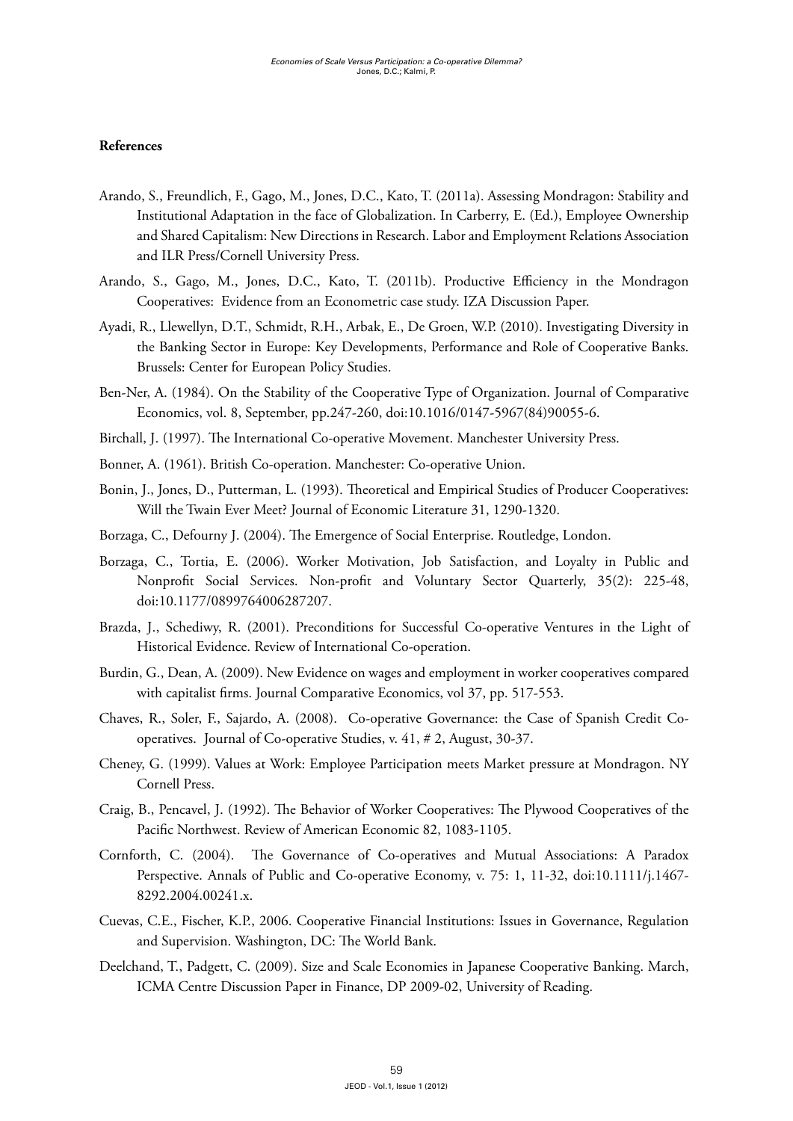#### **References**

- Arando, S., Freundlich, F., Gago, M., Jones, D.C., Kato, T. (2011a). Assessing Mondragon: Stability and Institutional Adaptation in the face of Globalization. In Carberry, E. (Ed.), Employee Ownership and Shared Capitalism: New Directions in Research. Labor and Employment Relations Association and ILR Press/Cornell University Press.
- Arando, S., Gago, M., Jones, D.C., Kato, T. (2011b). Productive Efficiency in the Mondragon Cooperatives: Evidence from an Econometric case study. IZA Discussion Paper.
- Ayadi, R., Llewellyn, D.T., Schmidt, R.H., Arbak, E., De Groen, W.P. (2010). Investigating Diversity in the Banking Sector in Europe: Key Developments, Performance and Role of Cooperative Banks. Brussels: Center for European Policy Studies.
- Ben-Ner, A. (1984). On the Stability of the Cooperative Type of Organization. Journal of Comparative Economics, vol. 8, September, pp.247-260, doi:10.1016/0147-5967(84)90055-6.
- Birchall, J. (1997). The International Co-operative Movement. Manchester University Press.
- Bonner, A. (1961). British Co-operation. Manchester: Co-operative Union.
- Bonin, J., Jones, D., Putterman, L. (1993). Theoretical and Empirical Studies of Producer Cooperatives: Will the Twain Ever Meet? Journal of Economic Literature 31, 1290-1320.
- Borzaga, C., Defourny J. (2004). The Emergence of Social Enterprise. Routledge, London.
- Borzaga, C., Tortia, E. (2006). Worker Motivation, Job Satisfaction, and Loyalty in Public and Nonprofit Social Services. Non-profit and Voluntary Sector Quarterly, 35(2): 225-48, doi:10.1177/0899764006287207.
- Brazda, J., Schediwy, R. (2001). Preconditions for Successful Co-operative Ventures in the Light of Historical Evidence. Review of International Co-operation.
- Burdin, G., Dean, A. (2009). New Evidence on wages and employment in worker cooperatives compared with capitalist firms. Journal Comparative Economics, vol 37, pp. 517-553.
- Chaves, R., Soler, F., Sajardo, A. (2008). Co-operative Governance: the Case of Spanish Credit Cooperatives. Journal of Co-operative Studies, v. 41, # 2, August, 30-37.
- Cheney, G. (1999). Values at Work: Employee Participation meets Market pressure at Mondragon. NY Cornell Press.
- Craig, B., Pencavel, J. (1992). The Behavior of Worker Cooperatives: The Plywood Cooperatives of the Pacific Northwest. Review of American Economic 82, 1083-1105.
- Cornforth, C. (2004). The Governance of Co-operatives and Mutual Associations: A Paradox Perspective. Annals of Public and Co-operative Economy, v. 75: 1, 11-32, doi:10.1111/j.1467- 8292.2004.00241.x.
- Cuevas, C.E., Fischer, K.P., 2006. Cooperative Financial Institutions: Issues in Governance, Regulation and Supervision. Washington, DC: The World Bank.
- Deelchand, T., Padgett, C. (2009). Size and Scale Economies in Japanese Cooperative Banking. March, ICMA Centre Discussion Paper in Finance, DP 2009-02, University of Reading.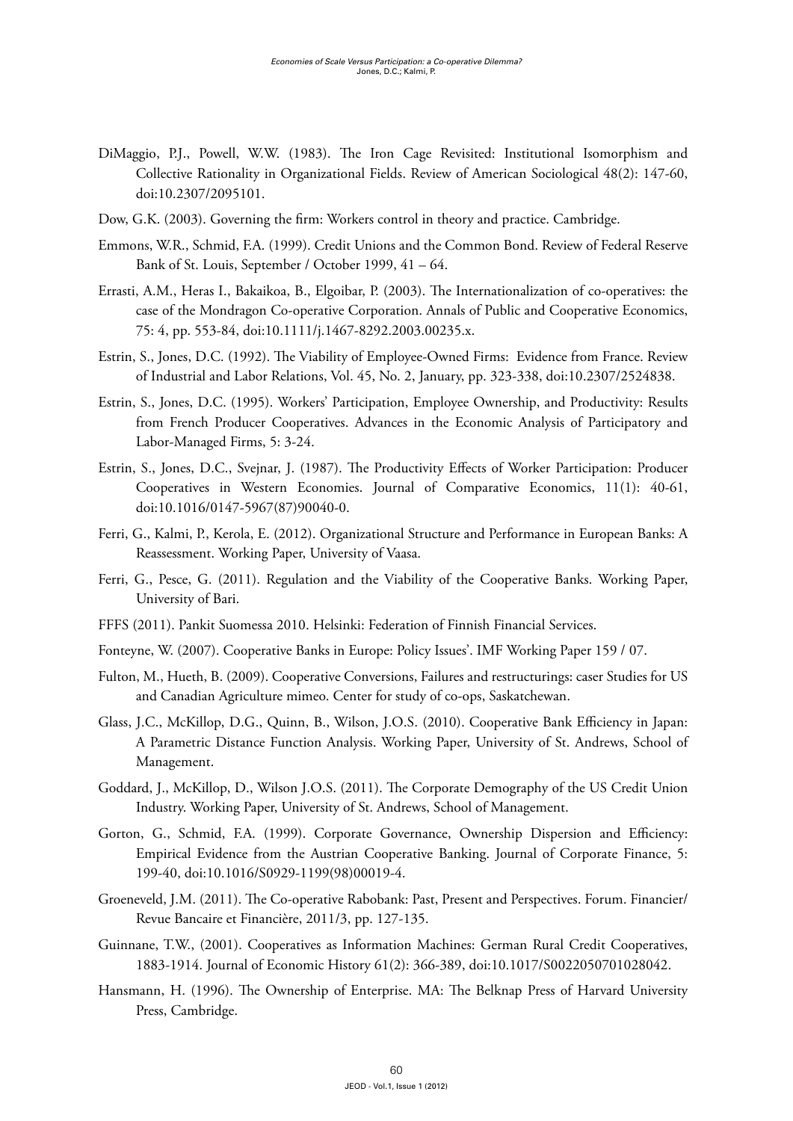- DiMaggio, P.J., Powell, W.W. (1983). The Iron Cage Revisited: Institutional Isomorphism and Collective Rationality in Organizational Fields. Review of American Sociological 48(2): 147-60, doi:10.2307/2095101.
- Dow, G.K. (2003). Governing the firm: Workers control in theory and practice. Cambridge.
- Emmons, W.R., Schmid, F.A. (1999). Credit Unions and the Common Bond. Review of Federal Reserve Bank of St. Louis, September / October 1999, 41 – 64.
- Errasti, A.M., Heras I., Bakaikoa, B., Elgoibar, P. (2003). The Internationalization of co-operatives: the case of the Mondragon Co-operative Corporation. Annals of Public and Cooperative Economics, 75: 4, pp. 553-84, doi:10.1111/j.1467-8292.2003.00235.x.
- Estrin, S., Jones, D.C. (1992). The Viability of Employee-Owned Firms: Evidence from France. Review of Industrial and Labor Relations, Vol. 45, No. 2, January, pp. 323-338, doi:10.2307/2524838.
- Estrin, S., Jones, D.C. (1995). Workers' Participation, Employee Ownership, and Productivity: Results from French Producer Cooperatives. Advances in the Economic Analysis of Participatory and Labor-Managed Firms, 5: 3-24.
- Estrin, S., Jones, D.C., Svejnar, J. (1987). The Productivity Effects of Worker Participation: Producer Cooperatives in Western Economies. Journal of Comparative Economics, 11(1): 40-61, doi:10.1016/0147-5967(87)90040-0.
- Ferri, G., Kalmi, P., Kerola, E. (2012). Organizational Structure and Performance in European Banks: A Reassessment. Working Paper, University of Vaasa.
- Ferri, G., Pesce, G. (2011). Regulation and the Viability of the Cooperative Banks. Working Paper, University of Bari.
- FFFS (2011). Pankit Suomessa 2010. Helsinki: Federation of Finnish Financial Services.
- Fonteyne, W. (2007). Cooperative Banks in Europe: Policy Issues'. IMF Working Paper 159 / 07.
- Fulton, M., Hueth, B. (2009). Cooperative Conversions, Failures and restructurings: caser Studies for US and Canadian Agriculture mimeo. Center for study of co-ops, Saskatchewan.
- Glass, J.C., McKillop, D.G., Quinn, B., Wilson, J.O.S. (2010). Cooperative Bank Efficiency in Japan: A Parametric Distance Function Analysis. Working Paper, University of St. Andrews, School of Management.
- Goddard, J., McKillop, D., Wilson J.O.S. (2011). The Corporate Demography of the US Credit Union Industry. Working Paper, University of St. Andrews, School of Management.
- Gorton, G., Schmid, F.A. (1999). Corporate Governance, Ownership Dispersion and Efficiency: Empirical Evidence from the Austrian Cooperative Banking. Journal of Corporate Finance, 5: 199-40, doi:10.1016/S0929-1199(98)00019-4.
- Groeneveld, J.M. (2011). The Co-operative Rabobank: Past, Present and Perspectives. Forum. Financier/ Revue Bancaire et Financière, 2011/3, pp. 127-135.
- Guinnane, T.W., (2001). Cooperatives as Information Machines: German Rural Credit Cooperatives, 1883-1914. Journal of Economic History 61(2): 366-389, doi:10.1017/S0022050701028042.
- Hansmann, H. (1996). The Ownership of Enterprise. MA: The Belknap Press of Harvard University Press, Cambridge.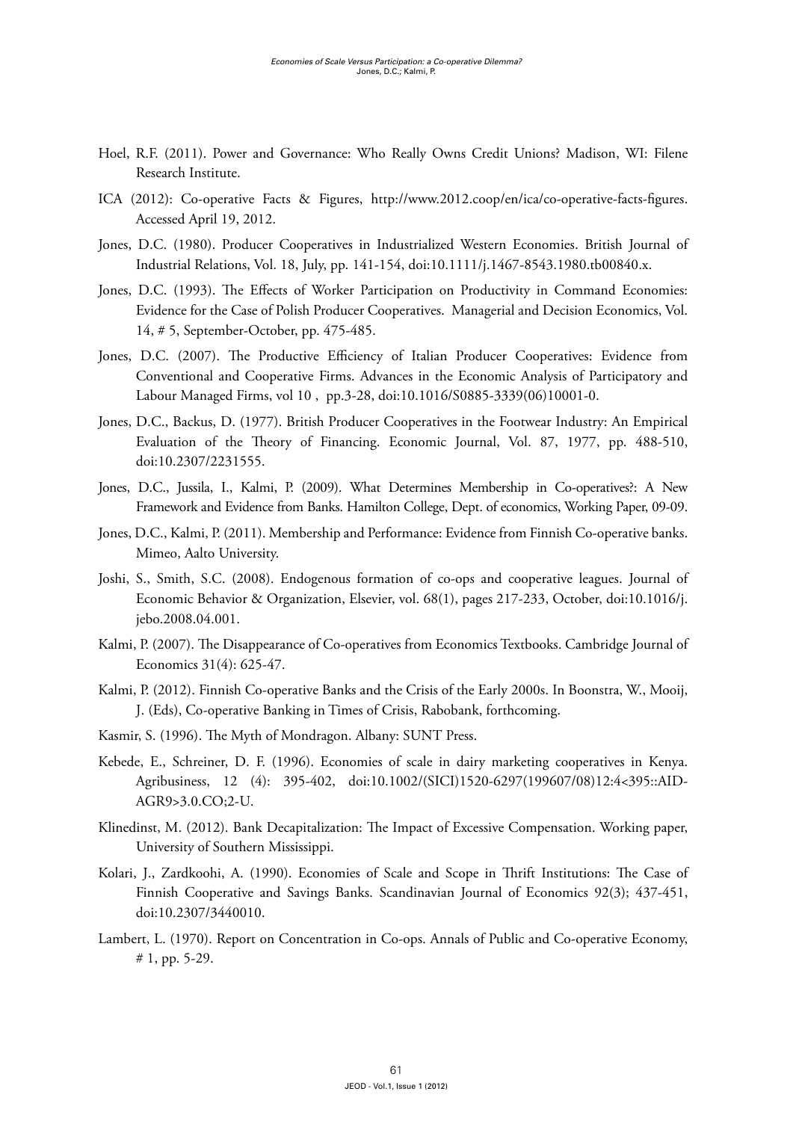- Hoel, R.F. (2011). Power and Governance: Who Really Owns Credit Unions? Madison, WI: Filene Research Institute.
- ICA (2012): Co-operative Facts & Figures, http://www.2012.coop/en/ica/co-operative-facts-figures. Accessed April 19, 2012.
- Jones, D.C. (1980). Producer Cooperatives in Industrialized Western Economies. British Journal of Industrial Relations, Vol. 18, July, pp. 141-154, doi:10.1111/j.1467-8543.1980.tb00840.x.
- Jones, D.C. (1993). The Effects of Worker Participation on Productivity in Command Economies: Evidence for the Case of Polish Producer Cooperatives. Managerial and Decision Economics, Vol. 14, # 5, September-October, pp. 475-485.
- Jones, D.C. (2007). The Productive Efficiency of Italian Producer Cooperatives: Evidence from Conventional and Cooperative Firms. Advances in the Economic Analysis of Participatory and Labour Managed Firms, vol 10 , pp.3-28, doi:10.1016/S0885-3339(06)10001-0.
- Jones, D.C., Backus, D. (1977). British Producer Cooperatives in the Footwear Industry: An Empirical Evaluation of the Theory of Financing. Economic Journal, Vol. 87, 1977, pp. 488-510, doi:10.2307/2231555.
- Jones, D.C., Jussila, I., Kalmi, P. (2009). What Determines Membership in Co-operatives?: A New Framework and Evidence from Banks. Hamilton College, Dept. of economics, Working Paper, 09-09.
- Jones, D.C., Kalmi, P. (2011). Membership and Performance: Evidence from Finnish Co-operative banks. Mimeo, Aalto University.
- Joshi, S., Smith, S.C. (2008). Endogenous formation of co-ops and cooperative leagues. Journal of Economic Behavior & Organization, Elsevier, vol. 68(1), pages 217-233, October, doi:10.1016/j. jebo.2008.04.001.
- Kalmi, P. (2007). The Disappearance of Co-operatives from Economics Textbooks. Cambridge Journal of Economics 31(4): 625-47.
- Kalmi, P. (2012). Finnish Co-operative Banks and the Crisis of the Early 2000s. In Boonstra, W., Mooij, J. (Eds), Co-operative Banking in Times of Crisis, Rabobank, forthcoming.
- Kasmir, S. (1996). The Myth of Mondragon. Albany: SUNT Press.
- Kebede, E., Schreiner, D. F. (1996). Economies of scale in dairy marketing cooperatives in Kenya. Agribusiness, 12 (4): 395-402, doi:10.1002/(SICI)1520-6297(199607/08)12:4<395::AID-AGR9>3.0.CO;2-U.
- Klinedinst, M. (2012). Bank Decapitalization: The Impact of Excessive Compensation. Working paper, University of Southern Mississippi.
- Kolari, J., Zardkoohi, A. (1990). Economies of Scale and Scope in Thrift Institutions: The Case of Finnish Cooperative and Savings Banks. Scandinavian Journal of Economics 92(3); 437-451, doi:10.2307/3440010.
- Lambert, L. (1970). Report on Concentration in Co-ops. Annals of Public and Co-operative Economy, # 1, pp. 5-29.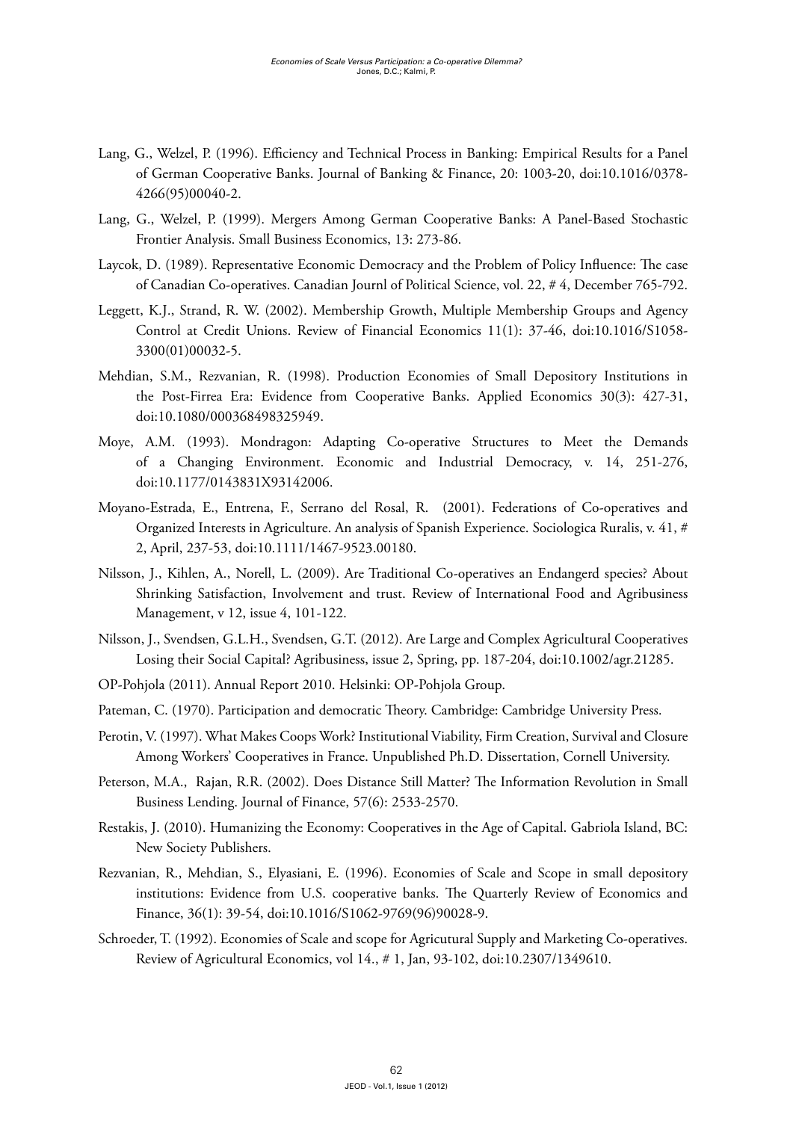- Lang, G., Welzel, P. (1996). Efficiency and Technical Process in Banking: Empirical Results for a Panel of German Cooperative Banks. Journal of Banking & Finance, 20: 1003-20, doi:10.1016/0378- 4266(95)00040-2.
- Lang, G., Welzel, P. (1999). Mergers Among German Cooperative Banks: A Panel-Based Stochastic Frontier Analysis. Small Business Economics, 13: 273-86.
- Laycok, D. (1989). Representative Economic Democracy and the Problem of Policy Influence: The case of Canadian Co-operatives. Canadian Journl of Political Science, vol. 22, # 4, December 765-792.
- Leggett, K.J., Strand, R. W. (2002). Membership Growth, Multiple Membership Groups and Agency Control at Credit Unions. Review of Financial Economics 11(1): 37-46, doi:10.1016/S1058- 3300(01)00032-5.
- Mehdian, S.M., Rezvanian, R. (1998). Production Economies of Small Depository Institutions in the Post-Firrea Era: Evidence from Cooperative Banks. Applied Economics 30(3): 427-31, doi:10.1080/000368498325949.
- Moye, A.M. (1993). Mondragon: Adapting Co-operative Structures to Meet the Demands of a Changing Environment. Economic and Industrial Democracy, v. 14, 251-276, doi:10.1177/0143831X93142006.
- Moyano-Estrada, E., Entrena, F., Serrano del Rosal, R. (2001). Federations of Co-operatives and Organized Interests in Agriculture. An analysis of Spanish Experience. Sociologica Ruralis, v. 41, # 2, April, 237-53, doi:10.1111/1467-9523.00180.
- Nilsson, J., Kihlen, A., Norell, L. (2009). Are Traditional Co-operatives an Endangerd species? About Shrinking Satisfaction, Involvement and trust. Review of International Food and Agribusiness Management, v 12, issue 4, 101-122.
- Nilsson, J., Svendsen, G.L.H., Svendsen, G.T. (2012). Are Large and Complex Agricultural Cooperatives Losing their Social Capital? Agribusiness, issue 2, Spring, pp. 187-204, doi:10.1002/agr.21285.
- OP-Pohjola (2011). Annual Report 2010. Helsinki: OP-Pohjola Group.
- Pateman, C. (1970). Participation and democratic Theory. Cambridge: Cambridge University Press.
- Perotin, V. (1997). What Makes Coops Work? Institutional Viability, Firm Creation, Survival and Closure Among Workers' Cooperatives in France. Unpublished Ph.D. Dissertation, Cornell University.
- Peterson, M.A., Rajan, R.R. (2002). Does Distance Still Matter? The Information Revolution in Small Business Lending. Journal of Finance, 57(6): 2533-2570.
- Restakis, J. (2010). Humanizing the Economy: Cooperatives in the Age of Capital. Gabriola Island, BC: New Society Publishers.
- Rezvanian, R., Mehdian, S., Elyasiani, E. (1996). Economies of Scale and Scope in small depository institutions: Evidence from U.S. cooperative banks. The Quarterly Review of Economics and Finance, 36(1): 39-54, doi:10.1016/S1062-9769(96)90028-9.
- Schroeder, T. (1992). Economies of Scale and scope for Agricutural Supply and Marketing Co-operatives. Review of Agricultural Economics, vol 14., # 1, Jan, 93-102, doi:10.2307/1349610.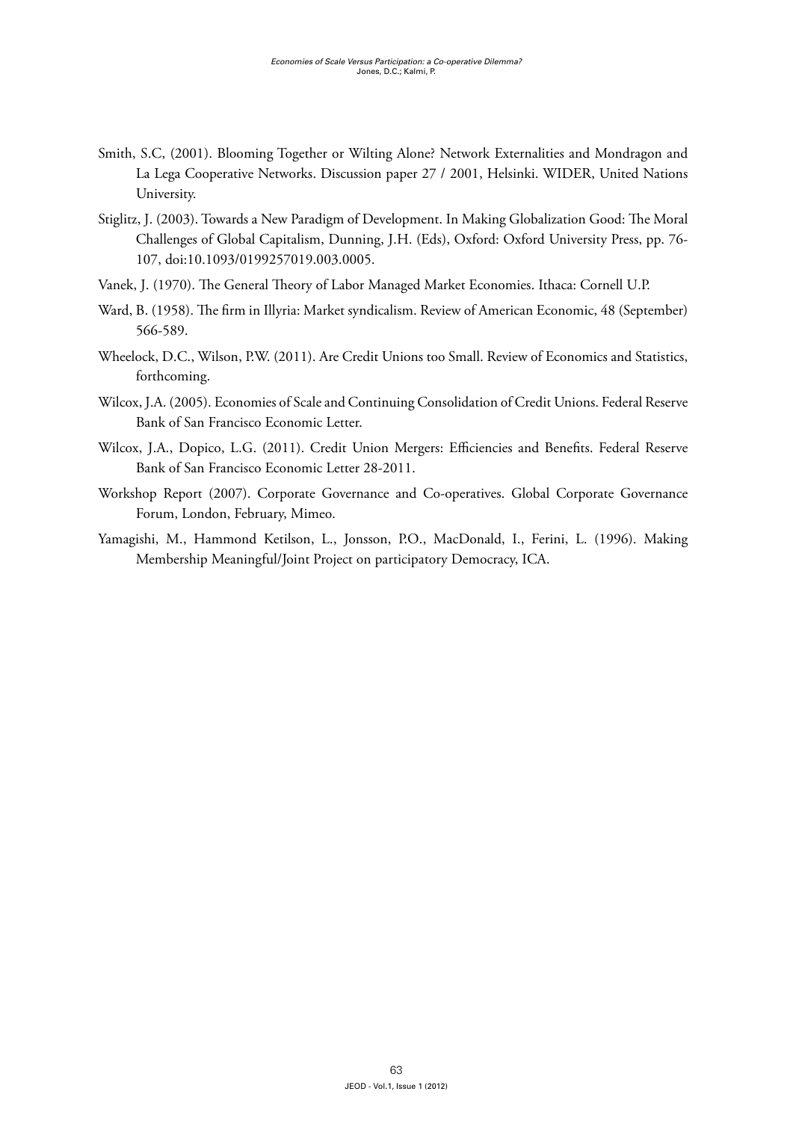- Smith, S.C, (2001). Blooming Together or Wilting Alone? Network Externalities and Mondragon and La Lega Cooperative Networks. Discussion paper 27 / 2001, Helsinki. WIDER, United Nations University.
- Stiglitz, J. (2003). Towards a New Paradigm of Development. In Making Globalization Good: The Moral Challenges of Global Capitalism, Dunning, J.H. (Eds), Oxford: Oxford University Press, pp. 76- 107, doi:10.1093/0199257019.003.0005.
- Vanek, J. (1970). The General Theory of Labor Managed Market Economies. Ithaca: Cornell U.P.
- Ward, B. (1958). The firm in Illyria: Market syndicalism. Review of American Economic, 48 (September) 566-589.
- Wheelock, D.C., Wilson, P.W. (2011). Are Credit Unions too Small. Review of Economics and Statistics, forthcoming.
- Wilcox, J.A. (2005). Economies of Scale and Continuing Consolidation of Credit Unions. Federal Reserve Bank of San Francisco Economic Letter.
- Wilcox, J.A., Dopico, L.G. (2011). Credit Union Mergers: Efficiencies and Benefits. Federal Reserve Bank of San Francisco Economic Letter 28-2011.
- Workshop Report (2007). Corporate Governance and Co-operatives. Global Corporate Governance Forum, London, February, Mimeo.
- Yamagishi, M., Hammond Ketilson, L., Jonsson, P.O., MacDonald, I., Ferini, L. (1996). Making Membership Meaningful/Joint Project on participatory Democracy, ICA.